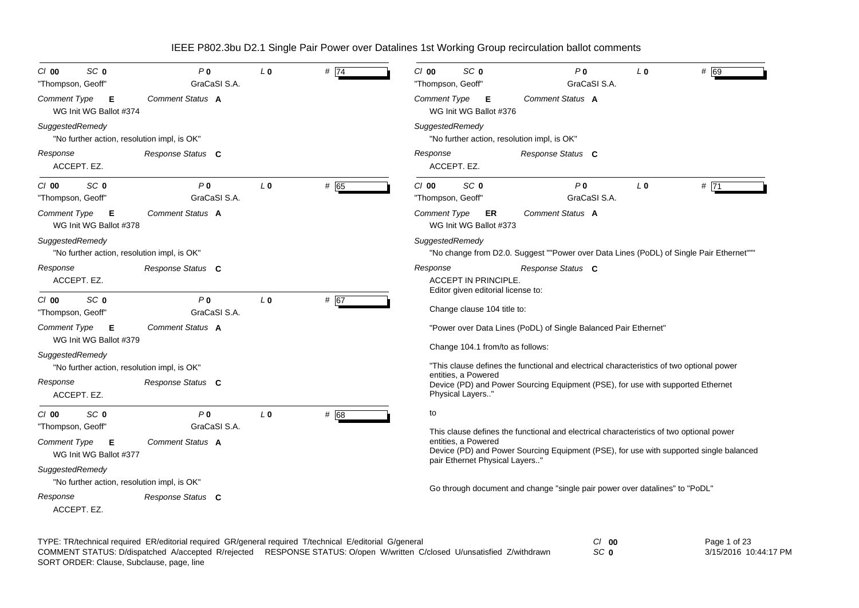| SC <sub>0</sub><br>$Cl$ 00<br>"Thompson, Geoff"                | P <sub>0</sub><br>GraCaSI S.A. | L <sub>0</sub> | # 74 | SC <sub>0</sub><br>P <sub>0</sub><br># 69<br>$Cl$ 00<br>L <sub>0</sub><br>GraCaSI S.A.<br>"Thompson, Geoff"                                                                                                                                |
|----------------------------------------------------------------|--------------------------------|----------------|------|--------------------------------------------------------------------------------------------------------------------------------------------------------------------------------------------------------------------------------------------|
| Comment Type<br>Е<br>WG Init WG Ballot #374                    | Comment Status A               |                |      | Comment Status A<br>Comment Type<br>- E<br>WG Init WG Ballot #376                                                                                                                                                                          |
| SuggestedRemedy<br>"No further action, resolution impl, is OK" |                                |                |      | SuggestedRemedy<br>"No further action, resolution impl, is OK"                                                                                                                                                                             |
| Response<br>ACCEPT. EZ.                                        | Response Status C              |                |      | Response<br>Response Status C<br>ACCEPT. EZ.                                                                                                                                                                                               |
| SC <sub>0</sub><br>$Cl$ 00<br>"Thompson, Geoff"                | P <sub>0</sub><br>GraCaSI S.A. | L <sub>0</sub> | # 65 | SC <sub>0</sub><br>P <sub>0</sub><br>#71<br>$Cl$ 00<br>L <sub>0</sub><br>GraCaSI S.A.<br>"Thompson, Geoff"                                                                                                                                 |
| <b>Comment Type</b><br>Е<br>WG Init WG Ballot #378             | Comment Status A               |                |      | <b>Comment Type</b><br>Comment Status A<br>ER<br>WG Init WG Ballot #373                                                                                                                                                                    |
| SuggestedRemedy<br>"No further action, resolution impl, is OK" |                                |                |      | SuggestedRemedy<br>"No change from D2.0. Suggest ""Power over Data Lines (PoDL) of Single Pair Ethernet"""                                                                                                                                 |
| Response<br>ACCEPT. EZ.                                        | Response Status C              |                |      | Response<br>Response Status C<br><b>ACCEPT IN PRINCIPLE.</b>                                                                                                                                                                               |
| SC <sub>0</sub><br>$Cl$ 00<br>"Thompson, Geoff"                | P <sub>0</sub><br>GraCaSI S.A. | L <sub>0</sub> | # 67 | Editor given editorial license to:<br>Change clause 104 title to:                                                                                                                                                                          |
| Comment Type<br>Е<br>WG Init WG Ballot #379                    | Comment Status A               |                |      | "Power over Data Lines (PoDL) of Single Balanced Pair Ethernet"                                                                                                                                                                            |
| SuggestedRemedy<br>"No further action, resolution impl, is OK" |                                |                |      | Change 104.1 from/to as follows:<br>"This clause defines the functional and electrical characteristics of two optional power                                                                                                               |
| Response<br>ACCEPT. EZ.                                        | Response Status C              |                |      | entities, a Powered<br>Device (PD) and Power Sourcing Equipment (PSE), for use with supported Ethernet<br>Physical Layers"                                                                                                                 |
| SC <sub>0</sub><br>$Cl$ 00<br>"Thompson, Geoff"                | P <sub>0</sub><br>GraCaSI S.A. | L <sub>0</sub> | # 68 | to                                                                                                                                                                                                                                         |
| <b>Comment Type</b><br>Е<br>WG Init WG Ballot #377             | Comment Status A               |                |      | This clause defines the functional and electrical characteristics of two optional power<br>entities, a Powered<br>Device (PD) and Power Sourcing Equipment (PSE), for use with supported single balanced<br>pair Ethernet Physical Layers' |
| SuggestedRemedy<br>"No further action, resolution impl, is OK" |                                |                |      |                                                                                                                                                                                                                                            |
| Response<br>ACCEPT. EZ.                                        | Response Status C              |                |      | Go through document and change "single pair power over datalines" to "PoDL"                                                                                                                                                                |
|                                                                |                                |                |      | $\sim$                                                                                                                                                                                                                                     |

| TYPE: TR/technical required ER/editorial required GR/general required T/technical E/editorial G/general |                                                                                                                         | $CI$ 00 | Page 1 of 23          |
|---------------------------------------------------------------------------------------------------------|-------------------------------------------------------------------------------------------------------------------------|---------|-----------------------|
|                                                                                                         | COMMENT STATUS: D/dispatched A/accepted R/reiected RESPONSE STATUS: O/open W/written C/closed U/unsatisfied Z/withdrawn | SC 0    | 3/15/2016 10:44:17 PM |
| SORT ORDER: Clause, Subclause, page, line                                                               |                                                                                                                         |         |                       |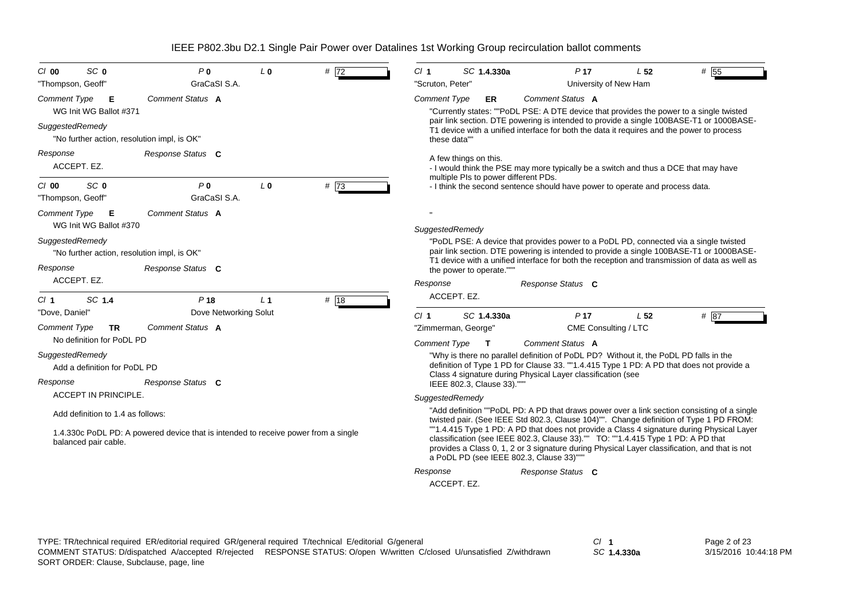| SC <sub>0</sub><br>P <sub>0</sub><br>C/O<br>L <sub>0</sub><br># 72<br>GraCaSI S.A.<br>"Thompson, Geoff"    | CI <sub>1</sub><br>SC 1.4.330a<br>P <sub>17</sub><br>L <sub>52</sub><br># 55<br>"Scruton, Peter"<br>University of New Ham                                                                                                                                                                                                |  |  |  |  |  |
|------------------------------------------------------------------------------------------------------------|--------------------------------------------------------------------------------------------------------------------------------------------------------------------------------------------------------------------------------------------------------------------------------------------------------------------------|--|--|--|--|--|
| Comment Status A<br><b>Comment Type</b><br>Е<br>WG Init WG Ballot #371                                     | Comment Status A<br><b>Comment Type</b><br>ER<br>"Currently states: ""PoDL PSE: A DTE device that provides the power to a single twisted<br>pair link section. DTE powering is intended to provide a single 100BASE-T1 or 1000BASE-                                                                                      |  |  |  |  |  |
| SuggestedRemedy<br>"No further action, resolution impl, is OK"                                             | T1 device with a unified interface for both the data it requires and the power to process<br>these data""                                                                                                                                                                                                                |  |  |  |  |  |
| Response<br>Response Status C<br>ACCEPT. EZ.                                                               | A few things on this.<br>- I would think the PSE may more typically be a switch and thus a DCE that may have<br>multiple PIs to power different PDs.                                                                                                                                                                     |  |  |  |  |  |
| SC <sub>0</sub><br>P <sub>0</sub><br>#73<br>L <sub>0</sub><br>$Cl$ 00<br>GraCaSI S.A.<br>"Thompson, Geoff" | - I think the second sentence should have power to operate and process data.                                                                                                                                                                                                                                             |  |  |  |  |  |
| Comment Status A<br><b>Comment Type</b><br>Е                                                               |                                                                                                                                                                                                                                                                                                                          |  |  |  |  |  |
| WG Init WG Ballot #370                                                                                     | SuggestedRemedy                                                                                                                                                                                                                                                                                                          |  |  |  |  |  |
| SuggestedRemedy<br>"No further action, resolution impl, is OK"                                             | "PoDL PSE: A device that provides power to a PoDL PD, connected via a single twisted<br>pair link section. DTE powering is intended to provide a single 100BASE-T1 or 1000BASE-<br>T1 device with a unified interface for both the reception and transmission of data as well as                                         |  |  |  |  |  |
| Response<br>Response Status C                                                                              | the power to operate."""                                                                                                                                                                                                                                                                                                 |  |  |  |  |  |
| ACCEPT. EZ.                                                                                                | Response<br>Response Status C                                                                                                                                                                                                                                                                                            |  |  |  |  |  |
| SC 1.4<br>P <sub>18</sub><br>L <sub>1</sub><br># 18<br>Cl <sub>1</sub>                                     | ACCEPT. EZ.                                                                                                                                                                                                                                                                                                              |  |  |  |  |  |
| Dove Networking Solut<br>"Dove, Daniel"                                                                    | CI <sub>1</sub><br>SC 1.4.330a<br>P <sub>17</sub><br># 87<br>L <sub>52</sub>                                                                                                                                                                                                                                             |  |  |  |  |  |
| Comment Status A<br><b>Comment Type</b><br><b>TR</b><br>No definition for PoDL PD                          | CME Consulting / LTC<br>"Zimmerman, George"<br><b>Comment Type</b><br><b>Comment Status A</b>                                                                                                                                                                                                                            |  |  |  |  |  |
| SuggestedRemedy                                                                                            | $\mathbf{T}$<br>"Why is there no parallel definition of PoDL PD? Without it, the PoDL PD falls in the                                                                                                                                                                                                                    |  |  |  |  |  |
| Add a definition for PoDL PD                                                                               | definition of Type 1 PD for Clause 33. ""1.4.415 Type 1 PD: A PD that does not provide a                                                                                                                                                                                                                                 |  |  |  |  |  |
| Response<br>Response Status C                                                                              | Class 4 signature during Physical Layer classification (see<br>IEEE 802.3, Clause 33).""'                                                                                                                                                                                                                                |  |  |  |  |  |
| <b>ACCEPT IN PRINCIPLE.</b>                                                                                | SuggestedRemedy                                                                                                                                                                                                                                                                                                          |  |  |  |  |  |
| Add definition to 1.4 as follows:                                                                          | "Add definition ""PoDL PD: A PD that draws power over a link section consisting of a single<br>twisted pair. (See IEEE Std 802.3, Clause 104)"". Change definition of Type 1 PD FROM:                                                                                                                                    |  |  |  |  |  |
| 1.4.330c PoDL PD: A powered device that is intended to receive power from a single<br>balanced pair cable. | "1.4.415 Type 1 PD: A PD that does not provide a Class 4 signature during Physical Layer<br>classification (see IEEE 802.3, Clause 33)."" TO: ""1.4.415 Type 1 PD: A PD that<br>provides a Class 0, 1, 2 or 3 signature during Physical Layer classification, and that is not<br>a PoDL PD (see IEEE 802.3, Clause 33)"" |  |  |  |  |  |
|                                                                                                            | Response<br>Response Status C                                                                                                                                                                                                                                                                                            |  |  |  |  |  |
|                                                                                                            | ACCEPT. EZ.                                                                                                                                                                                                                                                                                                              |  |  |  |  |  |

*SC* **1.4.330a**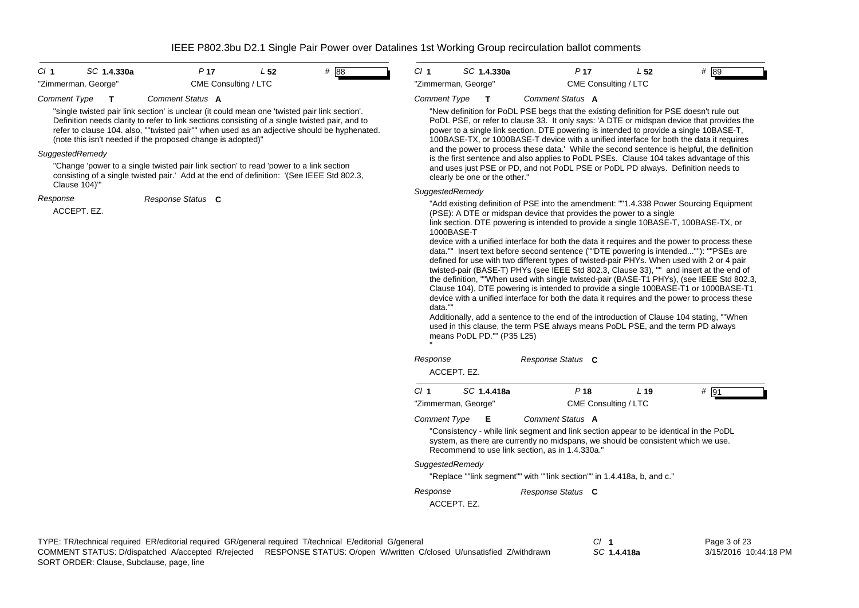| CI 1                | SC 1.4.330a |                      | L 52 | # 88 |
|---------------------|-------------|----------------------|------|------|
| "Zimmerman, George" |             | CME Consulting / LTC |      |      |



*Cl* **1** *SC* **1.4.330a** *P* **17** *L* **52** *#* 89"Zimmerman, George" CME Consulting / LTC

#### *Comment Type* **T** *Comment Status* **A**

"single twisted pair link section' is unclear (it could mean one 'twisted pair link section'. Definition needs clarity to refer to link sections consisting of a single twisted pair, and to refer to clause 104. also, ""twisted pair"" when used as an adjective should be hyphenated. (note this isn't needed if the proposed change is adopted)"

### *SuggestedRemedy*

"Change 'power to a single twisted pair link section' to read 'power to a link section consisting of a single twisted pair.' Add at the end of definition: '(See IEEE Std 802.3, Clause 104)'"

*Response Status* **C**

#### *Response*

ACCEPT. EZ.

#### *Comment Type* **T** *Comment Status* **A**

"New definition for PoDL PSE begs that the existing definition for PSE doesn't rule out PoDL PSE, or refer to clause 33. It only says: 'A DTE or midspan device that provides the power to a single link section. DTE powering is intended to provide a single 10BASE-T, 100BASE-TX, or 1000BASE-T device with a unified interface for both the data it requires and the power to process these data.' While the second sentence is helpful, the definition is the first sentence and also applies to PoDL PSEs. Clause 104 takes advantage of this and uses just PSE or PD, and not PoDL PSE or PoDL PD always. Definition needs to clearly be one or the other."

### *SuggestedRemedy*

"Add existing definition of PSE into the amendment: ""1.4.338 Power Sourcing Equipment (PSE): A DTE or midspan device that provides the power to a single

link section. DTE powering is intended to provide a single 10BASE-T, 100BASE-TX, or 1000BASE-T

device with a unified interface for both the data it requires and the power to process these data."" Insert text before second sentence (""DTE powering is intended...""): ""PSEs are defined for use with two different types of twisted-pair PHYs. When used with 2 or 4 pair twisted-pair (BASE-T) PHYs (see IEEE Std 802.3, Clause 33), "" and insert at the end of the definition, ""When used with single twisted-pair (BASE-T1 PHYs), (see IEEE Std 802.3, Clause 104), DTE powering is intended to provide a single 100BASE-T1 or 1000BASE-T1 device with a unified interface for both the data it requires and the power to process these data.""

Additionally, add a sentence to the end of the introduction of Clause 104 stating, ""When used in this clause, the term PSE always means PoDL PSE, and the term PD always means PoDL PD."" (P35 L25)

| Response<br>ACCEPT. EZ. |             | Response Status C                                                                                                                                                                                                                                 |                      |      |         |
|-------------------------|-------------|---------------------------------------------------------------------------------------------------------------------------------------------------------------------------------------------------------------------------------------------------|----------------------|------|---------|
| Cl <sub>1</sub>         | SC 1.4.418a | P 18                                                                                                                                                                                                                                              |                      | L 19 | #<br>91 |
| "Zimmerman, George"     |             |                                                                                                                                                                                                                                                   | CME Consulting / LTC |      |         |
| Comment Type <b>E</b>   |             | Comment Status A<br>"Consistency - while link segment and link section appear to be identical in the PoDL<br>system, as there are currently no midspans, we should be consistent which we use.<br>Recommend to use link section, as in 1.4.330a." |                      |      |         |
| SuggestedRemedy         |             | "Replace ""link segment"" with ""link section"" in 1.4.418a, b, and c."                                                                                                                                                                           |                      |      |         |
| Response<br>ACCEPT. EZ. |             | Response Status C                                                                                                                                                                                                                                 |                      |      |         |

*SC* **1.4.418a**

Page 3 of 23 3/15/2016 10:44:18 PM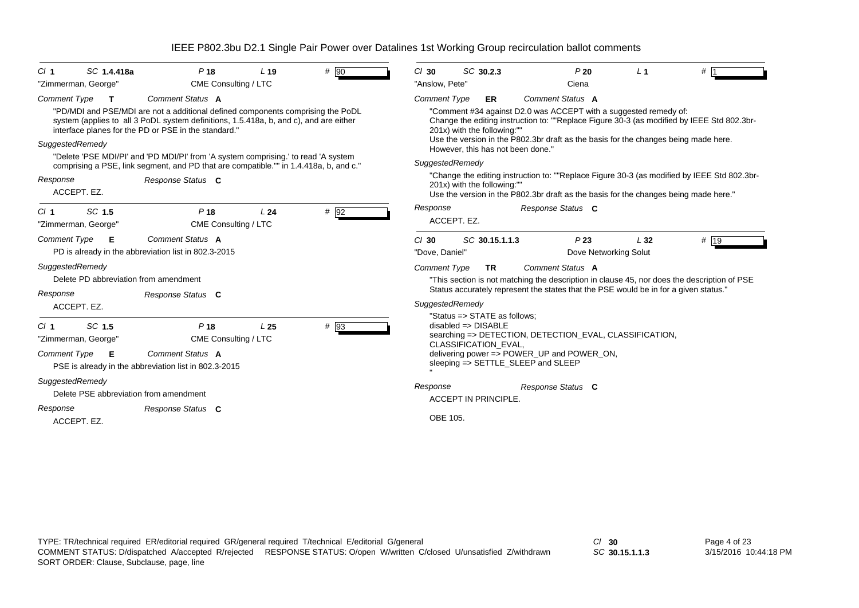| Cl <sub>1</sub>                        | SC 1.4.418a                                                          | P <sub>18</sub>                                                                                                                                                                                                                                                                                                                                                                                                                                                                  | L <sub>19</sub> | # 90   | $Cl$ 30                                                  | SC 30.2.3                                                                               |                                    | P20                                                                                                                                                                                  | L <sub>1</sub> | #                                                                                                                                                                                         |
|----------------------------------------|----------------------------------------------------------------------|----------------------------------------------------------------------------------------------------------------------------------------------------------------------------------------------------------------------------------------------------------------------------------------------------------------------------------------------------------------------------------------------------------------------------------------------------------------------------------|-----------------|--------|----------------------------------------------------------|-----------------------------------------------------------------------------------------|------------------------------------|--------------------------------------------------------------------------------------------------------------------------------------------------------------------------------------|----------------|-------------------------------------------------------------------------------------------------------------------------------------------------------------------------------------------|
| <b>Comment Type</b><br>Response        | "Zimmerman, George"<br>$\mathbf T$<br>SuggestedRemedy<br>ACCEPT. EZ. | CME Consulting / LTC<br>Comment Status A<br>"PD/MDI and PSE/MDI are not a additional defined components comprising the PoDL<br>system (applies to all 3 PoDL system definitions, 1.5.418a, b, and c), and are either<br>interface planes for the PD or PSE in the standard."<br>"Delete 'PSE MDI/PI' and 'PD MDI/PI' from 'A system comprising.' to read 'A system<br>comprising a PSE, link segment, and PD that are compatible."" in 1.4.418a, b, and c."<br>Response Status C |                 |        | "Anslow, Pete"<br><b>Comment Type</b><br>SuggestedRemedy | ER<br>201x) with the following:"<br>201x) with the following:""                         | However, this has not been done."  | Ciena<br>Comment Status A<br>"Comment #34 against D2.0 was ACCEPT with a suggested remedy of:<br>Use the version in the P802.3br draft as the basis for the changes being made here. |                | Change the editing instruction to: ""Replace Figure 30-3 (as modified by IEEE Std 802.3br-<br>"Change the editing instruction to: ""Replace Figure 30-3 (as modified by IEEE Std 802.3br- |
| Cl <sub>1</sub><br><b>Comment Type</b> | SC 1.5<br>"Zimmerman, George"<br>E                                   | P <sub>18</sub><br>CME Consulting / LTC<br>Comment Status A                                                                                                                                                                                                                                                                                                                                                                                                                      | L24             | # 92   | Response<br>$Cl$ 30                                      | ACCEPT. EZ.<br>SC 30.15.1.1.3                                                           |                                    | Response Status C<br>P23                                                                                                                                                             | L32            | Use the version in the P802.3br draft as the basis for the changes being made here."<br># 19                                                                                              |
| Response                               | SuggestedRemedy<br>ACCEPT. EZ.                                       | PD is already in the abbreviation list in 802.3-2015<br>Delete PD abbreviation from amendment<br>Response Status C                                                                                                                                                                                                                                                                                                                                                               |                 |        | "Dove, Daniel"<br><b>Comment Type</b><br>SuggestedRemedy | <b>TR</b>                                                                               |                                    | Dove Networking Solut<br><b>Comment Status A</b><br>Status accurately represent the states that the PSE would be in for a given status."                                             |                | "This section is not matching the description in clause 45, nor does the description of PSE                                                                                               |
| CI <sub>1</sub><br>Comment Type        | SC 1.5<br>"Zimmerman, George"<br>E                                   | P <sub>18</sub><br>CME Consulting / LTC<br><b>Comment Status A</b><br>PSE is already in the abbreviation list in 802.3-2015                                                                                                                                                                                                                                                                                                                                                      | L <sub>25</sub> | $#$ 93 |                                                          | "Status => STATE as follows;<br>$disabeled \Rightarrow DISABLE$<br>CLASSIFICATION_EVAL, | sleeping => SETTLE_SLEEP and SLEEP | searching => DETECTION, DETECTION_EVAL, CLASSIFICATION,<br>delivering power => POWER_UP and POWER_ON,                                                                                |                |                                                                                                                                                                                           |
| Response                               | SuggestedRemedy<br>ACCEPT. EZ.                                       | Delete PSE abbreviation from amendment<br>Response Status C                                                                                                                                                                                                                                                                                                                                                                                                                      |                 |        | Response<br>OBE 105.                                     | <b>ACCEPT IN PRINCIPLE</b>                                                              |                                    | Response Status C                                                                                                                                                                    |                |                                                                                                                                                                                           |

*SC* **30.15.1.1.3**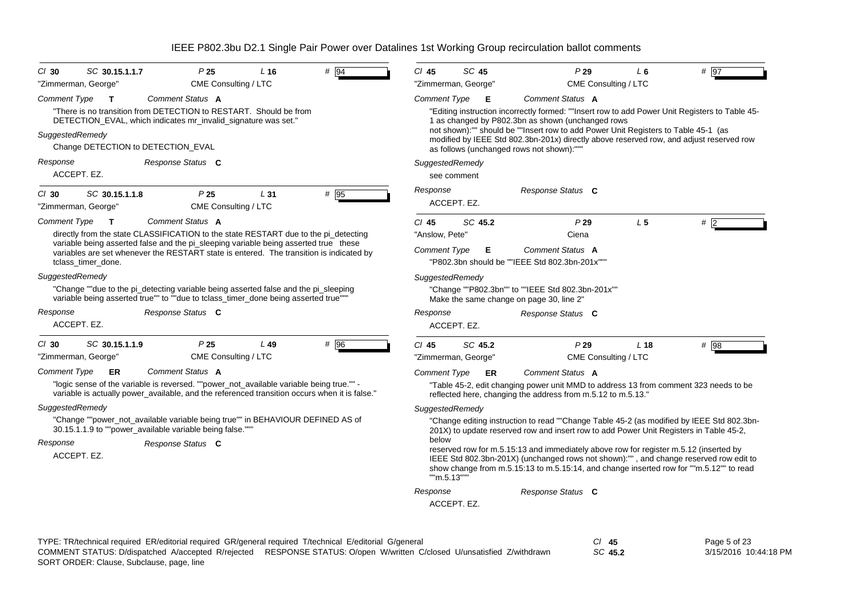| "Zimmerman, George"                                                                                                                                                                                        | P25<br>$L$ 16<br>CME Consulting / LTC                                                         | $#$ 94 | SC 45<br>$Cl$ 45<br>"Zimmerman, George"                     | P29<br>CME Consulting / LTC                                                                                                                                                                                                                                                                                                                                                                                                                                      | $L_6$           | # 97 |
|------------------------------------------------------------------------------------------------------------------------------------------------------------------------------------------------------------|-----------------------------------------------------------------------------------------------|--------|-------------------------------------------------------------|------------------------------------------------------------------------------------------------------------------------------------------------------------------------------------------------------------------------------------------------------------------------------------------------------------------------------------------------------------------------------------------------------------------------------------------------------------------|-----------------|------|
| Comment Type<br>$\mathbf{T}$                                                                                                                                                                               | Comment Status A                                                                              |        | Comment Type<br>Е                                           | Comment Status A                                                                                                                                                                                                                                                                                                                                                                                                                                                 |                 |      |
| "There is no transition from DETECTION to RESTART. Should be from<br>DETECTION_EVAL, which indicates mr_invalid_signature was set."                                                                        |                                                                                               |        |                                                             | "Editing instruction incorrectly formed: ""Insert row to add Power Unit Registers to Table 45-<br>1 as changed by P802.3bn as shown (unchanged rows                                                                                                                                                                                                                                                                                                              |                 |      |
| SuggestedRemedy<br>Change DETECTION to DETECTION_EVAL                                                                                                                                                      |                                                                                               |        | as follows (unchanged rows not shown):""                    | not shown):"" should be ""Insert row to add Power Unit Registers to Table 45-1 (as<br>modified by IEEE Std 802.3bn-201x) directly above reserved row, and adjust reserved row                                                                                                                                                                                                                                                                                    |                 |      |
| Response                                                                                                                                                                                                   | Response Status C                                                                             |        | SuggestedRemedy                                             |                                                                                                                                                                                                                                                                                                                                                                                                                                                                  |                 |      |
| ACCEPT. EZ.                                                                                                                                                                                                |                                                                                               |        | see comment                                                 |                                                                                                                                                                                                                                                                                                                                                                                                                                                                  |                 |      |
| $Cl$ 30<br>SC 30.15.1.1.8<br>"Zimmerman, George"                                                                                                                                                           | P <sub>25</sub><br>L31<br>CME Consulting / LTC                                                | # 95   | Response<br>ACCEPT. EZ.                                     | Response Status C                                                                                                                                                                                                                                                                                                                                                                                                                                                |                 |      |
| Comment Type<br>$\mathbf T$<br>directly from the state CLASSIFICATION to the state RESTART due to the pi_detecting<br>variable being asserted false and the pi_sleeping variable being asserted true these | Comment Status A                                                                              |        | SC 45.2<br>$Cl$ 45<br>"Anslow, Pete"                        | P29<br>Ciena                                                                                                                                                                                                                                                                                                                                                                                                                                                     | L <sub>5</sub>  | # 12 |
| variables are set whenever the RESTART state is entered. The transition is indicated by<br>tclass timer done.                                                                                              |                                                                                               |        | <b>Comment Type</b><br>Е                                    | Comment Status A<br>"P802.3bn should be ""IEEE Std 802.3bn-201x""                                                                                                                                                                                                                                                                                                                                                                                                |                 |      |
| SuggestedRemedy<br>"Change ""due to the pi_detecting variable being asserted false and the pi_sleeping<br>variable being asserted true"" to ""due to tclass timer done being asserted true"""              |                                                                                               |        | SuggestedRemedy<br>Make the same change on page 30, line 2" | "Change ""P802.3bn"" to ""IEEE Std 802.3bn-201x""                                                                                                                                                                                                                                                                                                                                                                                                                |                 |      |
| Response<br>ACCEPT. EZ.                                                                                                                                                                                    | Response Status C                                                                             |        | Response<br>ACCEPT. EZ.                                     | Response Status C                                                                                                                                                                                                                                                                                                                                                                                                                                                |                 |      |
| $CI$ 30<br>SC 30.15.1.1.9<br>"Zimmerman, George"                                                                                                                                                           | P <sub>25</sub><br>$L$ 49<br>CME Consulting / LTC                                             | # 96   | $Cl$ 45<br>SC 45.2<br>"Zimmerman, George"                   | P29<br>CME Consulting / LTC                                                                                                                                                                                                                                                                                                                                                                                                                                      | L <sub>18</sub> | # 98 |
| <b>Comment Type</b><br>ER                                                                                                                                                                                  | Comment Status A                                                                              |        | Comment Type<br>ER                                          | Comment Status A                                                                                                                                                                                                                                                                                                                                                                                                                                                 |                 |      |
| "logic sense of the variable is reversed. ""power_not_available variable being true."" -                                                                                                                   | variable is actually power_available, and the referenced transition occurs when it is false." |        |                                                             | "Table 45-2, edit changing power unit MMD to address 13 from comment 323 needs to be<br>reflected here, changing the address from m.5.12 to m.5.13."                                                                                                                                                                                                                                                                                                             |                 |      |
|                                                                                                                                                                                                            |                                                                                               |        | SuggestedRemedy                                             |                                                                                                                                                                                                                                                                                                                                                                                                                                                                  |                 |      |
| SuggestedRemedy<br>"Change ""power_not_available variable being true"" in BEHAVIOUR DEFINED AS of                                                                                                          |                                                                                               |        |                                                             |                                                                                                                                                                                                                                                                                                                                                                                                                                                                  |                 |      |
| 30.15.1.1.9 to ""power available variable being false.""<br>Response<br>ACCEPT. EZ.                                                                                                                        | Response Status C                                                                             |        | below<br>""m.5.13""                                         | "Change editing instruction to read ""Change Table 45-2 (as modified by IEEE Std 802.3bn-<br>201X) to update reserved row and insert row to add Power Unit Registers in Table 45-2.<br>reserved row for m.5.15:13 and immediately above row for register m.5.12 (inserted by<br>IEEE Std 802.3bn-201X) (unchanged rows not shown):"", and change reserved row edit to<br>show change from m.5.15:13 to m.5.15:14, and change inserted row for ""m.5.12"" to read |                 |      |

TYPE: TR/technical required ER/editorial required GR/general required T/technical E/editorial G/general *Cl* **45** SORT ORDER: Clause, Subclause, page, line COMMENT STATUS: D/dispatched A/accepted R/rejected RESPONSE STATUS: O/open W/written C/closed U/unsatisfied Z/withdrawn

*SC* **45.2**

Page 5 of 23 3/15/2016 10:44:18 PM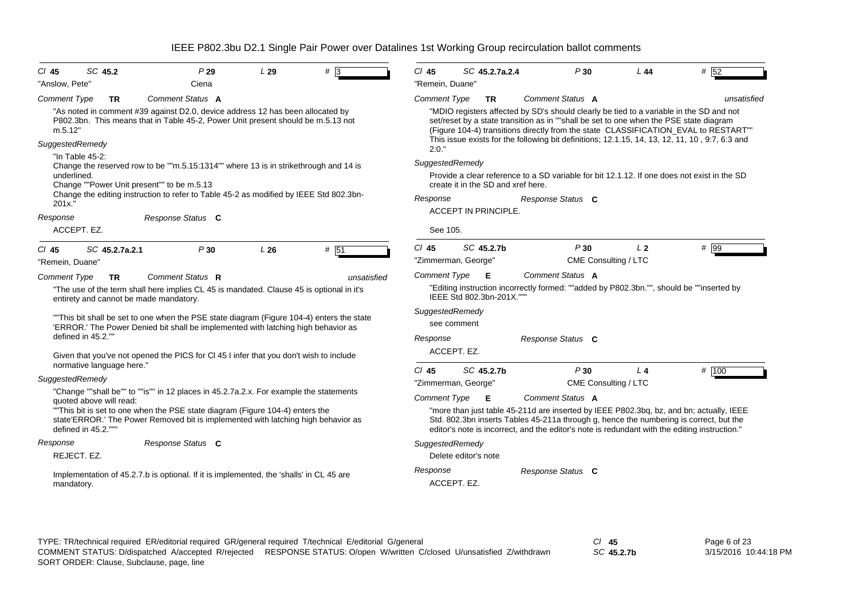| $CI$ 45                                                                                                                                                                                  | SC 45.2                       | P29                                                                                                                                                                           | L29 | #    | $Cl$ 45                                                                                                                                                                                                                                                                            | SC 45.2.7a.2.4                     | P30                                                                                                                                                                                                                                                                      | L 44           | # 52        |  |  |
|------------------------------------------------------------------------------------------------------------------------------------------------------------------------------------------|-------------------------------|-------------------------------------------------------------------------------------------------------------------------------------------------------------------------------|-----|------|------------------------------------------------------------------------------------------------------------------------------------------------------------------------------------------------------------------------------------------------------------------------------------|------------------------------------|--------------------------------------------------------------------------------------------------------------------------------------------------------------------------------------------------------------------------------------------------------------------------|----------------|-------------|--|--|
| "Anslow, Pete"                                                                                                                                                                           |                               | Ciena                                                                                                                                                                         |     |      | "Remein, Duane"                                                                                                                                                                                                                                                                    |                                    |                                                                                                                                                                                                                                                                          |                |             |  |  |
| <b>Comment Type</b>                                                                                                                                                                      | <b>TR</b>                     | Comment Status A                                                                                                                                                              |     |      | <b>Comment Type</b>                                                                                                                                                                                                                                                                | <b>TR</b>                          | Comment Status A                                                                                                                                                                                                                                                         |                | unsatisfied |  |  |
| m.5.12"                                                                                                                                                                                  |                               | "As noted in comment #39 against D2.0, device address 12 has been allocated by<br>P802.3bn. This means that in Table 45-2, Power Unit present should be m.5.13 not            |     |      |                                                                                                                                                                                                                                                                                    |                                    | "MDIO registers affected by SD's should clearly be tied to a variable in the SD and not<br>set/reset by a state transition as in ""shall be set to one when the PSE state diagram<br>(Figure 104-4) transitions directly from the state CLASSIFICATION_EVAL to RESTART"" |                |             |  |  |
| SuggestedRemedy<br>"In Table 45-2:                                                                                                                                                       |                               |                                                                                                                                                                               |     |      | This issue exists for the following bit definitions; 12.1.15, 14, 13, 12, 11, 10, 9:7, 6:3 and<br>2:0."                                                                                                                                                                            |                                    |                                                                                                                                                                                                                                                                          |                |             |  |  |
|                                                                                                                                                                                          |                               | Change the reserved row to be ""m.5.15:1314"" where 13 is in strikethrough and 14 is                                                                                          |     |      | SuggestedRemedy                                                                                                                                                                                                                                                                    |                                    |                                                                                                                                                                                                                                                                          |                |             |  |  |
| underlined.<br>Change ""Power Unit present"" to be m.5.13<br>Change the editing instruction to refer to Table 45-2 as modified by IEEE Std 802.3bn-                                      |                               |                                                                                                                                                                               |     |      |                                                                                                                                                                                                                                                                                    | create it in the SD and xref here. | Provide a clear reference to a SD variable for bit 12.1.12. If one does not exist in the SD                                                                                                                                                                              |                |             |  |  |
| 201x.                                                                                                                                                                                    |                               |                                                                                                                                                                               |     |      | Response                                                                                                                                                                                                                                                                           |                                    | Response Status C                                                                                                                                                                                                                                                        |                |             |  |  |
|                                                                                                                                                                                          | Response<br>Response Status C |                                                                                                                                                                               |     |      |                                                                                                                                                                                                                                                                                    | <b>ACCEPT IN PRINCIPLE.</b>        |                                                                                                                                                                                                                                                                          |                |             |  |  |
| ACCEPT. EZ.                                                                                                                                                                              |                               |                                                                                                                                                                               |     |      | See 105.                                                                                                                                                                                                                                                                           |                                    |                                                                                                                                                                                                                                                                          |                |             |  |  |
| $CI$ 45                                                                                                                                                                                  | SC 45.2.7a.2.1                | P30                                                                                                                                                                           | L26 | # 51 | $Cl$ 45                                                                                                                                                                                                                                                                            | SC 45.2.7b                         | P30                                                                                                                                                                                                                                                                      | L <sub>2</sub> | # 99        |  |  |
| "Remein, Duane"                                                                                                                                                                          |                               |                                                                                                                                                                               |     |      |                                                                                                                                                                                                                                                                                    | "Zimmerman, George"                | CME Consulting / LTC                                                                                                                                                                                                                                                     |                |             |  |  |
| Comment Status R<br>unsatisfied<br><b>Comment Type</b><br><b>TR</b>                                                                                                                      |                               |                                                                                                                                                                               |     |      | <b>Comment Type</b>                                                                                                                                                                                                                                                                | - E                                | Comment Status A                                                                                                                                                                                                                                                         |                |             |  |  |
|                                                                                                                                                                                          |                               | "The use of the term shall here implies CL 45 is mandated. Clause 45 is optional in it's<br>entirety and cannot be made mandatory.                                            |     |      |                                                                                                                                                                                                                                                                                    | IEEE Std 802.3bn-201X.""           | "Editing instruction incorrectly formed: ""added by P802.3bn."", should be ""inserted by                                                                                                                                                                                 |                |             |  |  |
|                                                                                                                                                                                          |                               |                                                                                                                                                                               |     |      | SuggestedRemedy                                                                                                                                                                                                                                                                    |                                    |                                                                                                                                                                                                                                                                          |                |             |  |  |
|                                                                                                                                                                                          |                               | "This bit shall be set to one when the PSE state diagram (Figure 104-4) enters the state<br>'ERROR.' The Power Denied bit shall be implemented with latching high behavior as |     |      |                                                                                                                                                                                                                                                                                    | see comment                        |                                                                                                                                                                                                                                                                          |                |             |  |  |
| defined in 45.2.""                                                                                                                                                                       |                               |                                                                                                                                                                               |     |      | Response                                                                                                                                                                                                                                                                           |                                    | Response Status C                                                                                                                                                                                                                                                        |                |             |  |  |
|                                                                                                                                                                                          |                               | Given that you've not opened the PICS for CI 45 I infer that you don't wish to include                                                                                        |     |      |                                                                                                                                                                                                                                                                                    | ACCEPT. EZ.                        |                                                                                                                                                                                                                                                                          |                |             |  |  |
|                                                                                                                                                                                          | normative language here."     |                                                                                                                                                                               |     |      | $Cl$ 45                                                                                                                                                                                                                                                                            | SC 45.2.7b                         | P30                                                                                                                                                                                                                                                                      | L <sub>4</sub> | # 100       |  |  |
| SuggestedRemedy                                                                                                                                                                          |                               |                                                                                                                                                                               |     |      |                                                                                                                                                                                                                                                                                    | "Zimmerman, George"                | CME Consulting / LTC                                                                                                                                                                                                                                                     |                |             |  |  |
|                                                                                                                                                                                          |                               | "Change ""shall be"" to ""is"" in 12 places in 45.2.7a.2.x. For example the statements                                                                                        |     |      | <b>Comment Type</b>                                                                                                                                                                                                                                                                | E                                  | <b>Comment Status A</b>                                                                                                                                                                                                                                                  |                |             |  |  |
|                                                                                                                                                                                          | quoted above will read:       |                                                                                                                                                                               |     |      |                                                                                                                                                                                                                                                                                    |                                    |                                                                                                                                                                                                                                                                          |                |             |  |  |
| "This bit is set to one when the PSE state diagram (Figure 104-4) enters the<br>state'ERROR.' The Power Removed bit is implemented with latching high behavior as<br>defined in 45.2.""" |                               |                                                                                                                                                                               |     |      | "more than just table 45-211d are inserted by IEEE P802.3bq, bz, and bn; actually, IEEE<br>Std. 802.3bn inserts Tables 45-211a through g, hence the numbering is correct, but the<br>editor's note is incorrect, and the editor's note is redundant with the editing instruction." |                                    |                                                                                                                                                                                                                                                                          |                |             |  |  |
| Response                                                                                                                                                                                 |                               | Response Status C                                                                                                                                                             |     |      | SuggestedRemedy                                                                                                                                                                                                                                                                    |                                    |                                                                                                                                                                                                                                                                          |                |             |  |  |
| REJECT. EZ.                                                                                                                                                                              |                               |                                                                                                                                                                               |     |      |                                                                                                                                                                                                                                                                                    | Delete editor's note               |                                                                                                                                                                                                                                                                          |                |             |  |  |
| mandatory.                                                                                                                                                                               |                               | Implementation of 45.2.7.b is optional. If it is implemented, the 'shalls' in CL 45 are                                                                                       |     |      | Response                                                                                                                                                                                                                                                                           | ACCEPT. EZ.                        | Response Status C                                                                                                                                                                                                                                                        |                |             |  |  |
|                                                                                                                                                                                          |                               |                                                                                                                                                                               |     |      |                                                                                                                                                                                                                                                                                    |                                    |                                                                                                                                                                                                                                                                          |                |             |  |  |

TYPE: TR/technical required ER/editorial required GR/general required T/technical E/editorial G/general *Cl* **45** SORT ORDER: Clause, Subclause, page, line COMMENT STATUS: D/dispatched A/accepted R/rejected RESPONSE STATUS: O/open W/written C/closed U/unsatisfied Z/withdrawn

*SC* **45.2.7b**

Page 6 of 23 3/15/2016 10:44:18 PM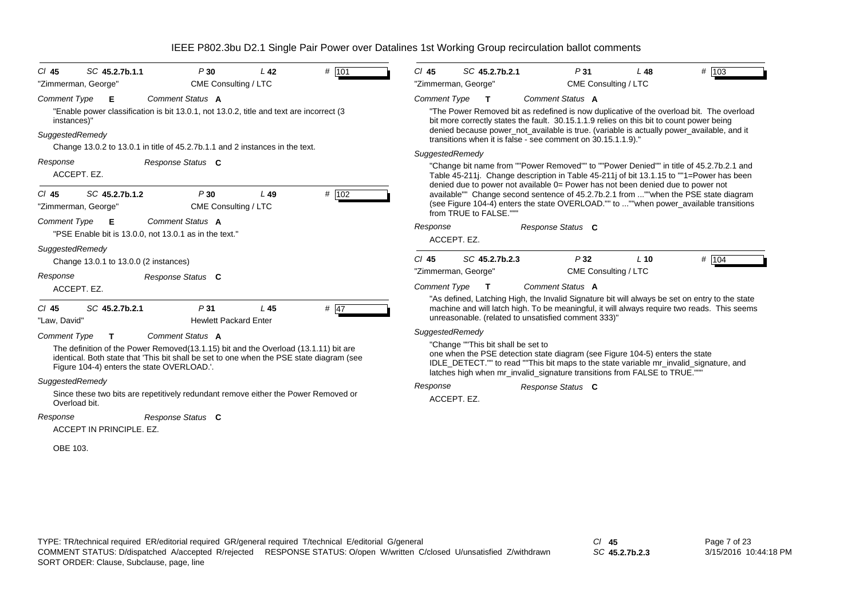| SC 45.2.7b.1.1<br>$CI$ 45                                                                                                                                                                                                                                                       | P30                                 | L <sub>42</sub> | # 101  | $Cl$ 45                                                      |                                    | SC 45.2.7b.2.1                                                                                                                                            |  | P31                                                                                                          | $L$ 48 | # 103                                                                                                                                                                                         |
|---------------------------------------------------------------------------------------------------------------------------------------------------------------------------------------------------------------------------------------------------------------------------------|-------------------------------------|-----------------|--------|--------------------------------------------------------------|------------------------------------|-----------------------------------------------------------------------------------------------------------------------------------------------------------|--|--------------------------------------------------------------------------------------------------------------|--------|-----------------------------------------------------------------------------------------------------------------------------------------------------------------------------------------------|
| "Zimmerman, George"                                                                                                                                                                                                                                                             | CME Consulting / LTC                |                 |        | "Zimmerman, George"                                          |                                    |                                                                                                                                                           |  | CME Consulting / LTC                                                                                         |        |                                                                                                                                                                                               |
| <b>Comment Type</b><br>Е<br>"Enable power classification is bit 13.0.1, not 13.0.2, title and text are incorrect (3<br>instances)"<br>SuggestedRemedy                                                                                                                           | Comment Status A                    |                 |        | <b>Comment Type</b>                                          |                                    | $\mathbf{T}$                                                                                                                                              |  | Comment Status A<br>bit more correctly states the fault. 30.15.1.1.9 relies on this bit to count power being |        | "The Power Removed bit as redefined is now duplicative of the overload bit. The overload<br>denied because power_not_available is true. (variable is actually power_available, and it         |
| Change 13.0.2 to 13.0.1 in title of 45.2.7b.1.1 and 2 instances in the text.                                                                                                                                                                                                    |                                     |                 |        | transitions when it is false - see comment on 30.15.1.1.9)." |                                    |                                                                                                                                                           |  |                                                                                                              |        |                                                                                                                                                                                               |
| Response<br>Response Status C<br>ACCEPT. EZ.                                                                                                                                                                                                                                    |                                     |                 |        |                                                              | SuggestedRemedy                    |                                                                                                                                                           |  | denied due to power not available 0= Power has not been denied due to power not                              |        | "Change bit name from ""Power Removed"" to ""Power Denied"" in title of 45.2.7b.2.1 and<br>Table 45-211j. Change description in Table 45-211j of bit 13.1.15 to ""1=Power has been            |
| SC 45.2.7b.1.2<br>$CI$ 45<br>"Zimmerman, George"                                                                                                                                                                                                                                | P30<br>CME Consulting / LTC         | $L$ 49          | # 102  |                                                              |                                    | from TRUE to FALSE."""                                                                                                                                    |  |                                                                                                              |        | available"" Change second sentence of 45.2.7b.2.1 from ""when the PSE state diagram<br>(see Figure 104-4) enters the state OVERLOAD."" to ""when power available transitions                  |
| <b>Comment Type</b><br>Е<br>"PSE Enable bit is 13.0.0, not 13.0.1 as in the text."                                                                                                                                                                                              | Comment Status A                    |                 |        | Response                                                     | ACCEPT. EZ.                        |                                                                                                                                                           |  | Response Status C                                                                                            |        |                                                                                                                                                                                               |
| SuggestedRemedy<br>Change 13.0.1 to 13.0.0 (2 instances)                                                                                                                                                                                                                        |                                     |                 |        | $Cl$ 45                                                      |                                    | SC 45.2.7b.2.3                                                                                                                                            |  | P32                                                                                                          | $L$ 10 | # 104                                                                                                                                                                                         |
| Response<br>ACCEPT. EZ.                                                                                                                                                                                                                                                         | Response Status C                   |                 |        | "Zimmerman, George"<br><b>Comment Type</b>                   |                                    | $\mathbf{T}$                                                                                                                                              |  | CME Consulting / LTC<br>Comment Status A                                                                     |        |                                                                                                                                                                                               |
| $CI$ 45<br>SC 45.2.7b.2.1<br>"Law, David"                                                                                                                                                                                                                                       | P31<br><b>Hewlett Packard Enter</b> | L45             | # $47$ |                                                              |                                    |                                                                                                                                                           |  | unreasonable. (related to unsatisfied comment 333)"                                                          |        | "As defined, Latching High, the Invalid Signature bit will always be set on entry to the state<br>machine and will latch high. To be meaningful, it will always require two reads. This seems |
| <b>Comment Type</b><br>Comment Status A<br>T.<br>The definition of the Power Removed (13.1.15) bit and the Overload (13.1.11) bit are<br>identical. Both state that 'This bit shall be set to one when the PSE state diagram (see<br>Figure 104-4) enters the state OVERLOAD.'. |                                     | SuggestedRemedy |        |                                                              | "Change ""This bit shall be set to | one when the PSE detection state diagram (see Figure 104-5) enters the state<br>latches high when mr_invalid_signature transitions from FALSE to TRUE.""" |  | IDLE_DETECT."" to read ""This bit maps to the state variable mr_invalid_signature, and                       |        |                                                                                                                                                                                               |
| SuggestedRemedy<br>Since these two bits are repetitively redundant remove either the Power Removed or<br>Overload bit.                                                                                                                                                          |                                     |                 |        | Response                                                     | ACCEPT. EZ.                        |                                                                                                                                                           |  | Response Status C                                                                                            |        |                                                                                                                                                                                               |
| Response<br>ACCEPT IN PRINCIPLE, EZ.                                                                                                                                                                                                                                            | Response Status C                   |                 |        |                                                              |                                    |                                                                                                                                                           |  |                                                                                                              |        |                                                                                                                                                                                               |
| OBE 103.                                                                                                                                                                                                                                                                        |                                     |                 |        |                                                              |                                    |                                                                                                                                                           |  |                                                                                                              |        |                                                                                                                                                                                               |

*SC* **45.2.7b.2.3**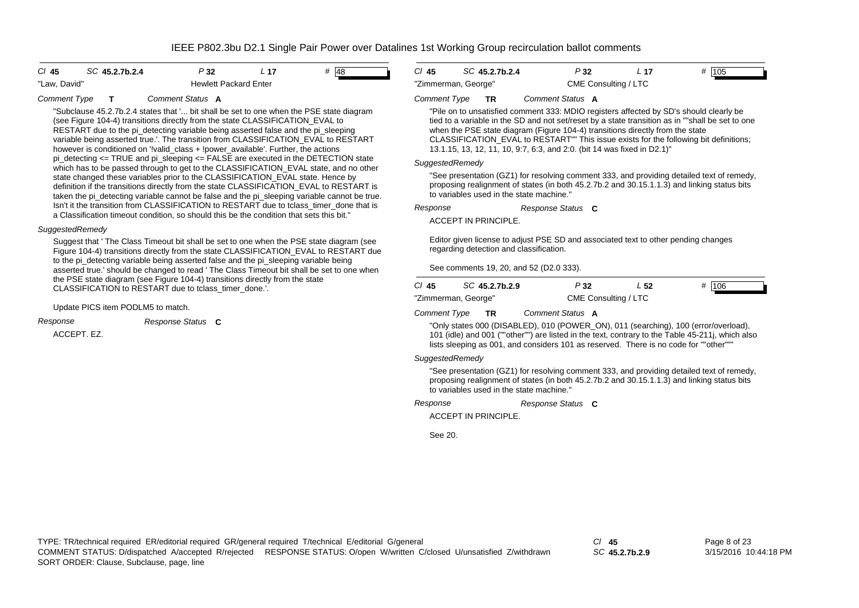#### *Cl* **45** *SC* **45.2.7b.2.4** *P* **32** *L* **17** *#* 48"Law, David" The Members of Hewlett Packard Enter





#### *Comment Type* **T** *Comment Status* **A**

"Subclause 45.2.7b.2.4 states that '... bit shall be set to one when the PSE state diagram (see Figure 104-4) transitions directly from the state CLASSIFICATION\_EVAL to RESTART due to the pi\_detecting variable being asserted false and the pi\_sleeping variable being asserted true.'. The transition from CLASSIFICATION\_EVAL to RESTART however is conditioned on '!valid\_class + !power\_available'. Further, the actions pi\_detecting  $\leq$  TRUE and pi\_sleeping  $\leq$  FALSE are executed in the DETECTION state which has to be passed through to get to the CLASSIFICATION EVAL state, and no other state changed these variables prior to the CLASSIFICATION\_EVAL state. Hence by definition if the transitions directly from the state CLASSIFICATION\_EVAL to RESTART is taken the pi\_detecting variable cannot be false and the pi\_sleeping variable cannot be true. Isn't it the transition from CLASSIFICATION to RESTART due to tclass timer done that is a Classification timeout condition, so should this be the condition that sets this bit."

### *SuggestedRemedy*

Suggest that ' The Class Timeout bit shall be set to one when the PSE state diagram (see Figure 104-4) transitions directly from the state CLASSIFICATION\_EVAL to RESTART due to the pi\_detecting variable being asserted false and the pi\_sleeping variable being asserted true.' should be changed to read ' The Class Timeout bit shall be set to one when the PSE state diagram (see Figure 104-4) transitions directly from the state CLASSIFICATION to RESTART due to tclass\_timer\_done.'.

#### Update PICS item PODLM5 to match.

*Response Status* **C** *Response*

ACCEPT. EZ.

#### *Comment Type* **TR** *Comment Status* **A**

"Pile on to unsatisfied comment 333: MDIO registers affected by SD's should clearly be tied to a variable in the SD and not set/reset by a state transition as in ""shall be set to one when the PSE state diagram (Figure 104-4) transitions directly from the state CLASSIFICATION\_EVAL to RESTART"" This issue exists for the following bit definitions; 13.1.15, 13, 12, 11, 10, 9:7, 6:3, and 2:0. (bit 14 was fixed in D2.1)"

#### *SuggestedRemedy*

"See presentation (GZ1) for resolving comment 333, and providing detailed text of remedy, proposing realignment of states (in both 45.2.7b.2 and 30.15.1.1.3) and linking status bits to variables used in the state machine."

*Response Status* **C** *Response*

ACCEPT IN PRINCIPLE.

Editor given license to adjust PSE SD and associated text to other pending changes regarding detection and classification.

See comments 19, 20, and 52 (D2.0 333).

| CI 45               | SC 45.2.7b.2.9 | P32 | L 52                 | # 106 |
|---------------------|----------------|-----|----------------------|-------|
| "Zimmerman, George" |                |     | CME Consulting / LTC |       |

*Comment Type* **TR** *Comment Status* **A**

"Only states 000 (DISABLED), 010 (POWER\_ON), 011 (searching), 100 (error/overload), 101 (idle) and 001 (""other"") are listed in the text, contrary to the Table 45-211j, which also lists sleeping as 001, and considers 101 as reserved. There is no code for ""other"""

### *SuggestedRemedy*

"See presentation (GZ1) for resolving comment 333, and providing detailed text of remedy, proposing realignment of states (in both 45.2.7b.2 and 30.15.1.1.3) and linking status bits to variables used in the state machine."

#### *Response Status* **C** *Response*

ACCEPT IN PRINCIPLE.

See 20.

*SC* **45.2.7b.2.9**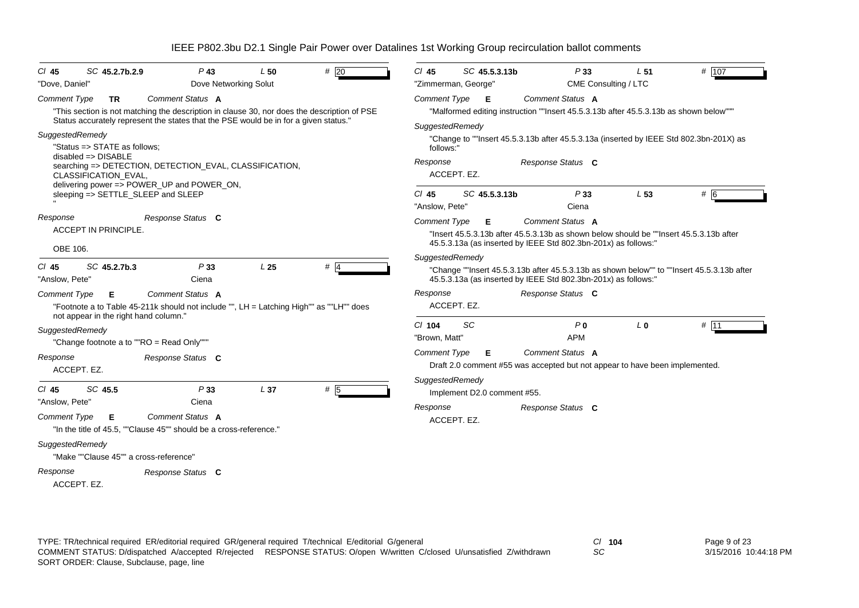| $CI$ 45<br>SC 45.2.7b.2.9                                                                                         | $P$ 43                                                                                                                                                                                                  | L50                       | #20                                                                               | $Cl$ 45               | SC 45.5.3.13b                                                       |                   | P33                                                                                        | L <sub>51</sub>                                                                      | # 107                                                                                  |
|-------------------------------------------------------------------------------------------------------------------|---------------------------------------------------------------------------------------------------------------------------------------------------------------------------------------------------------|---------------------------|-----------------------------------------------------------------------------------|-----------------------|---------------------------------------------------------------------|-------------------|--------------------------------------------------------------------------------------------|--------------------------------------------------------------------------------------|----------------------------------------------------------------------------------------|
| "Dove, Daniel"                                                                                                    |                                                                                                                                                                                                         | Dove Networking Solut     |                                                                                   |                       | "Zimmerman, George"                                                 |                   | CME Consulting / LTC                                                                       |                                                                                      |                                                                                        |
| <b>Comment Type</b><br><b>TR</b>                                                                                  | Comment Status A<br>"This section is not matching the description in clause 30, nor does the description of PSE<br>Status accurately represent the states that the PSE would be in for a given status." |                           |                                                                                   | <b>Comment Type</b>   | E                                                                   | Comment Status A  |                                                                                            | "Malformed editing instruction ""Insert 45.5.3.13b after 45.5.3.13b as shown below"" |                                                                                        |
| SuggestedRemedy<br>"Status => STATE as follows;<br>$disabeled \Rightarrow DISABLE$<br><b>CLASSIFICATION EVAL,</b> | searching => DETECTION, DETECTION_EVAL, CLASSIFICATION,<br>delivering power => POWER_UP and POWER_ON,                                                                                                   |                           |                                                                                   | follows:"<br>Response | SuggestedRemedy<br>ACCEPT. EZ.                                      | Response Status C |                                                                                            |                                                                                      | "Change to ""Insert 45.5.3.13b after 45.5.3.13a (inserted by IEEE Std 802.3bn-201X) as |
| sleeping => SETTLE_SLEEP and SLEEP                                                                                |                                                                                                                                                                                                         | $CI$ 45<br>"Anslow, Pete" | SC 45.5.3.13b                                                                     |                       | P33<br>Ciena                                                        | L 53              | # 6                                                                                        |                                                                                      |                                                                                        |
| Response<br>ACCEPT IN PRINCIPLE.<br>OBE 106.                                                                      | Response Status C                                                                                                                                                                                       |                           |                                                                                   | <b>Comment Type</b>   | Е<br>45.5.3.13a (as inserted by IEEE Std 802.3bn-201x) as follows:" | Comment Status A  |                                                                                            |                                                                                      | "Insert 45.5.3.13b after 45.5.3.13b as shown below should be ""Insert 45.5.3.13b after |
| SC 45.2.7b.3<br>$CI$ 45<br>"Anslow, Pete"                                                                         | $#$ 4                                                                                                                                                                                                   |                           | SuggestedRemedy<br>45.5.3.13a (as inserted by IEEE Std 802.3bn-201x) as follows:" |                       |                                                                     |                   | "Change ""Insert 45.5.3.13b after 45.5.3.13b as shown below"" to ""Insert 45.5.3.13b after |                                                                                      |                                                                                        |
| <b>Comment Type</b><br>Е<br>not appear in the right hand column."                                                 | Comment Status A<br>"Footnote a to Table 45-211k should not include "", LH = Latching High"" as ""LH"" does                                                                                             |                           |                                                                                   | Response              | ACCEPT. EZ.                                                         | Response Status C |                                                                                            |                                                                                      |                                                                                        |
| SuggestedRemedy                                                                                                   |                                                                                                                                                                                                         |                           |                                                                                   | $Cl$ 104              | <b>SC</b>                                                           |                   | P <sub>0</sub>                                                                             | L <sub>0</sub>                                                                       | # 11                                                                                   |
|                                                                                                                   | "Change footnote a to ""RO = Read Only"""                                                                                                                                                               |                           |                                                                                   | "Brown, Matt"         |                                                                     |                   | <b>APM</b>                                                                                 |                                                                                      |                                                                                        |
| Response<br>ACCEPT. EZ.                                                                                           | Response Status C                                                                                                                                                                                       |                           |                                                                                   | <b>Comment Type</b>   | E.                                                                  | Comment Status A  |                                                                                            | Draft 2.0 comment #55 was accepted but not appear to have been implemented.          |                                                                                        |
| SC 45.5<br>$CI$ 45<br>"Anslow, Pete"                                                                              | P33<br>Ciena                                                                                                                                                                                            | L <sub>37</sub>           | # 5                                                                               |                       | SuggestedRemedy<br>Implement D2.0 comment #55.                      |                   |                                                                                            |                                                                                      |                                                                                        |
| <b>Comment Type</b><br>Е                                                                                          | <b>Comment Status A</b><br>"In the title of 45.5, ""Clause 45"" should be a cross-reference."                                                                                                           |                           |                                                                                   | Response              | ACCEPT. EZ.                                                         | Response Status C |                                                                                            |                                                                                      |                                                                                        |
| SuggestedRemedy                                                                                                   | "Make ""Clause 45"" a cross-reference"                                                                                                                                                                  |                           |                                                                                   |                       |                                                                     |                   |                                                                                            |                                                                                      |                                                                                        |
| Response<br>ACCEPT. EZ.                                                                                           | Response Status C                                                                                                                                                                                       |                           |                                                                                   |                       |                                                                     |                   |                                                                                            |                                                                                      |                                                                                        |

*SC*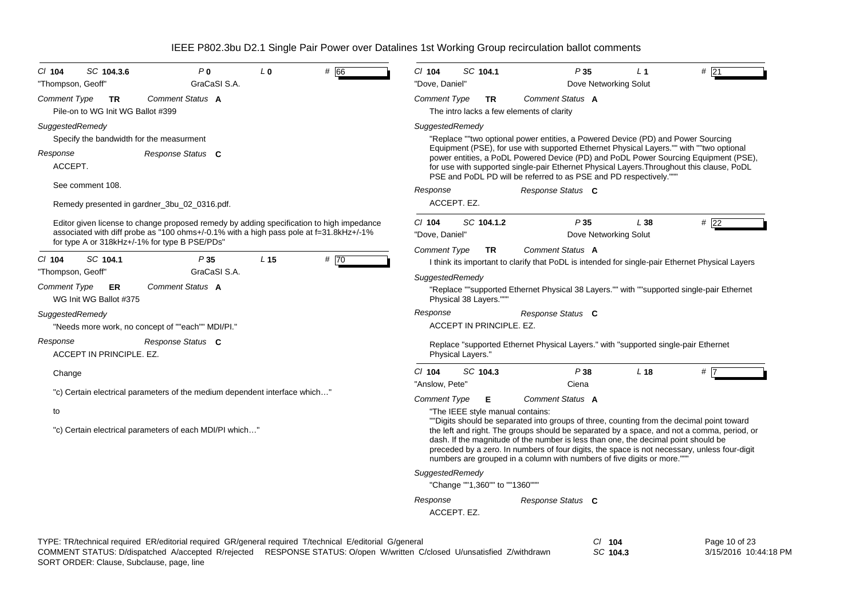| P <sub>0</sub><br># 66<br>$CI$ 104<br>SC 104.3.6<br>L <sub>0</sub><br>GraCaSI S.A.<br>"Thompson, Geoff"                                                                                                                             | SC 104.1<br>P35<br>#21<br>$CI$ 104<br>L <sub>1</sub><br>"Dove, Daniel"<br>Dove Networking Solut                                                                                                                                                                                                                                                             |  |  |  |  |  |
|-------------------------------------------------------------------------------------------------------------------------------------------------------------------------------------------------------------------------------------|-------------------------------------------------------------------------------------------------------------------------------------------------------------------------------------------------------------------------------------------------------------------------------------------------------------------------------------------------------------|--|--|--|--|--|
| Comment Status A<br>Comment Type<br><b>TR</b><br>Pile-on to WG Init WG Ballot #399                                                                                                                                                  | Comment Status A<br><b>Comment Type</b><br><b>TR</b><br>The intro lacks a few elements of clarity                                                                                                                                                                                                                                                           |  |  |  |  |  |
| SuggestedRemedy<br>Specify the bandwidth for the measurment                                                                                                                                                                         | SuggestedRemedy<br>"Replace ""two optional power entities, a Powered Device (PD) and Power Sourcing                                                                                                                                                                                                                                                         |  |  |  |  |  |
| Response<br>Response Status C<br>ACCEPT.                                                                                                                                                                                            | Equipment (PSE), for use with supported Ethernet Physical Layers."" with ""two optional<br>power entities, a PoDL Powered Device (PD) and PoDL Power Sourcing Equipment (PSE),<br>for use with supported single-pair Ethernet Physical Layers. Throughout this clause, PoDL<br>PSE and PoDL PD will be referred to as PSE and PD respectively.""            |  |  |  |  |  |
| See comment 108.                                                                                                                                                                                                                    | Response<br>Response Status C                                                                                                                                                                                                                                                                                                                               |  |  |  |  |  |
| Remedy presented in gardner 3bu 02 0316.pdf.                                                                                                                                                                                        | ACCEPT. EZ.                                                                                                                                                                                                                                                                                                                                                 |  |  |  |  |  |
| Editor given license to change proposed remedy by adding specification to high impedance<br>associated with diff probe as "100 ohms+/-0.1% with a high pass pole at f=31.8kHz+/-1%<br>for type A or 318kHz+/-1% for type B PSE/PDs" | P35<br>$Cl$ 104<br>SC 104.1.2<br>L38<br>$#$ 22<br>"Dove, Daniel"<br>Dove Networking Solut                                                                                                                                                                                                                                                                   |  |  |  |  |  |
|                                                                                                                                                                                                                                     | Comment Status A<br>Comment Type<br>TR                                                                                                                                                                                                                                                                                                                      |  |  |  |  |  |
| SC 104.1<br>L <sub>15</sub><br># 70<br>$CI$ 104<br>P35<br>GraCaSI S.A.<br>"Thompson, Geoff"                                                                                                                                         | I think its important to clarify that PoDL is intended for single-pair Ethernet Physical Layers                                                                                                                                                                                                                                                             |  |  |  |  |  |
| Comment Status A<br><b>Comment Type</b><br><b>ER</b><br>WG Init WG Ballot #375                                                                                                                                                      | SuggestedRemedy<br>"Replace ""supported Ethernet Physical 38 Layers."" with ""supported single-pair Ethernet<br>Physical 38 Layers."""                                                                                                                                                                                                                      |  |  |  |  |  |
| SuggestedRemedy                                                                                                                                                                                                                     | Response<br>Response Status C                                                                                                                                                                                                                                                                                                                               |  |  |  |  |  |
| "Needs more work, no concept of ""each"" MDI/PI."                                                                                                                                                                                   | ACCEPT IN PRINCIPLE, EZ.                                                                                                                                                                                                                                                                                                                                    |  |  |  |  |  |
| Response<br>Response Status C<br>ACCEPT IN PRINCIPLE, EZ.                                                                                                                                                                           | Replace "supported Ethernet Physical Layers." with "supported single-pair Ethernet<br>Physical Layers."                                                                                                                                                                                                                                                     |  |  |  |  |  |
| Change                                                                                                                                                                                                                              | $Cl$ 104<br>SC 104.3<br>P38<br>L <sub>18</sub><br># 7                                                                                                                                                                                                                                                                                                       |  |  |  |  |  |
| "c) Certain electrical parameters of the medium dependent interface which"                                                                                                                                                          | "Anslow, Pete"<br>Ciena                                                                                                                                                                                                                                                                                                                                     |  |  |  |  |  |
|                                                                                                                                                                                                                                     | <b>Comment Type</b><br>Comment Status A<br>Е                                                                                                                                                                                                                                                                                                                |  |  |  |  |  |
| to                                                                                                                                                                                                                                  | "The IEEE style manual contains:<br>""Digits should be separated into groups of three, counting from the decimal point toward                                                                                                                                                                                                                               |  |  |  |  |  |
| "c) Certain electrical parameters of each MDI/PI which"                                                                                                                                                                             | the left and right. The groups should be separated by a space, and not a comma, period, or<br>dash. If the magnitude of the number is less than one, the decimal point should be<br>preceded by a zero. In numbers of four digits, the space is not necessary, unless four-digit<br>numbers are grouped in a column with numbers of five digits or more.""" |  |  |  |  |  |
|                                                                                                                                                                                                                                     | SuggestedRemedy                                                                                                                                                                                                                                                                                                                                             |  |  |  |  |  |
|                                                                                                                                                                                                                                     | "Change ""1,360"" to ""1360"""                                                                                                                                                                                                                                                                                                                              |  |  |  |  |  |
|                                                                                                                                                                                                                                     | Response<br>Response Status C<br>ACCEPT. EZ.                                                                                                                                                                                                                                                                                                                |  |  |  |  |  |
| TYPE: TR/technical required ER/editorial required GR/general required T/technical E/editorial G/general                                                                                                                             | $CI$ 104<br>Page 10 of 23                                                                                                                                                                                                                                                                                                                                   |  |  |  |  |  |

*SC* **104.3** 3/15/2016 10:44:18 PM SORT ORDER: Clause, Subclause, page, line COMMENT STATUS: D/dispatched A/accepted R/rejected RESPONSE STATUS: O/open W/written C/closed U/unsatisfied Z/withdrawn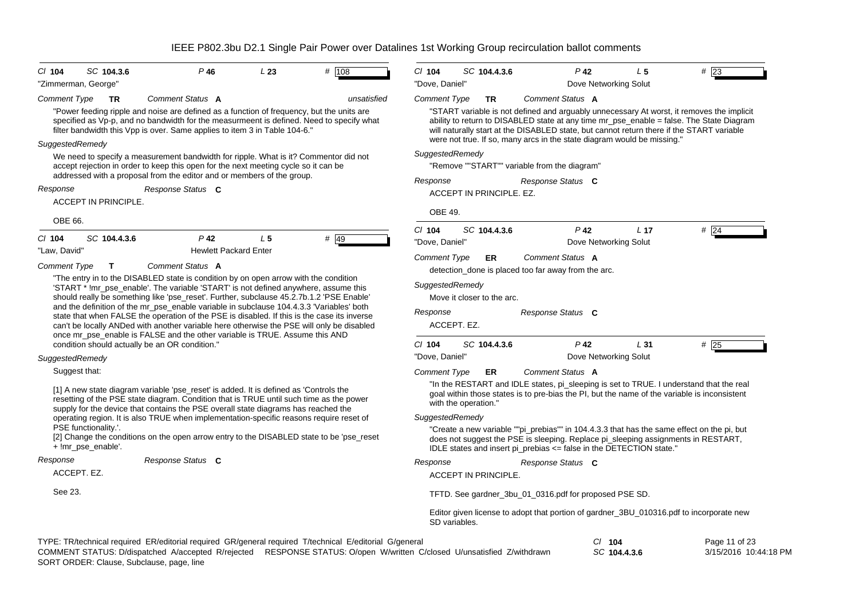| CI 104              | SC 104.3.6                                     | $P$ 46                                                                                                                                                                                                                                                                                                                                                                                                                                                                                                                                                 | L23            | # $108$                                                                                                 | $CI$ 104                    | SC 104.4.3.6                              | $P$ 42                                                                  | L <sub>5</sub>                           | #23                                                                                                                                                                                                                                                                                |
|---------------------|------------------------------------------------|--------------------------------------------------------------------------------------------------------------------------------------------------------------------------------------------------------------------------------------------------------------------------------------------------------------------------------------------------------------------------------------------------------------------------------------------------------------------------------------------------------------------------------------------------------|----------------|---------------------------------------------------------------------------------------------------------|-----------------------------|-------------------------------------------|-------------------------------------------------------------------------|------------------------------------------|------------------------------------------------------------------------------------------------------------------------------------------------------------------------------------------------------------------------------------------------------------------------------------|
|                     | 'Zimmerman, George'                            |                                                                                                                                                                                                                                                                                                                                                                                                                                                                                                                                                        |                |                                                                                                         | "Dove, Daniel"              |                                           |                                                                         | Dove Networking Solut                    |                                                                                                                                                                                                                                                                                    |
| <b>Comment Type</b> | <b>TR</b>                                      | Comment Status A                                                                                                                                                                                                                                                                                                                                                                                                                                                                                                                                       |                | unsatisfied                                                                                             | Comment Type                | <b>TR</b>                                 | Comment Status A                                                        |                                          |                                                                                                                                                                                                                                                                                    |
|                     |                                                | "Power feeding ripple and noise are defined as a function of frequency, but the units are<br>specified as Vp-p, and no bandwidth for the measurmeent is defined. Need to specify what<br>filter bandwidth this Vpp is over. Same applies to item 3 in Table 104-6."                                                                                                                                                                                                                                                                                    |                |                                                                                                         |                             |                                           |                                                                         |                                          | "START variable is not defined and arguably unnecessary At worst, it removes the implicit<br>ability to return to DISABLED state at any time mr_pse_enable = false. The State Diagram<br>will naturally start at the DISABLED state, but cannot return there if the START variable |
| SuggestedRemedy     |                                                |                                                                                                                                                                                                                                                                                                                                                                                                                                                                                                                                                        |                |                                                                                                         |                             |                                           | were not true. If so, many arcs in the state diagram would be missing." |                                          |                                                                                                                                                                                                                                                                                    |
|                     |                                                | We need to specify a measurement bandwidth for ripple. What is it? Commentor did not<br>accept rejection in order to keep this open for the next meeting cycle so it can be<br>addressed with a proposal from the editor and or members of the group.                                                                                                                                                                                                                                                                                                  |                |                                                                                                         | SuggestedRemedy             |                                           | "Remove ""START"" variable from the diagram"                            |                                          |                                                                                                                                                                                                                                                                                    |
| Response            |                                                | Response Status C                                                                                                                                                                                                                                                                                                                                                                                                                                                                                                                                      |                |                                                                                                         | Response                    |                                           | Response Status C                                                       |                                          |                                                                                                                                                                                                                                                                                    |
|                     | <b>ACCEPT IN PRINCIPLE.</b>                    |                                                                                                                                                                                                                                                                                                                                                                                                                                                                                                                                                        |                |                                                                                                         |                             | ACCEPT IN PRINCIPLE. EZ.                  |                                                                         |                                          |                                                                                                                                                                                                                                                                                    |
| OBE 66.             |                                                |                                                                                                                                                                                                                                                                                                                                                                                                                                                                                                                                                        |                |                                                                                                         | <b>OBE 49.</b>              |                                           |                                                                         |                                          |                                                                                                                                                                                                                                                                                    |
| CI 104              | SC 104.4.3.6                                   | $P$ 42                                                                                                                                                                                                                                                                                                                                                                                                                                                                                                                                                 | L <sub>5</sub> | $#$ 49                                                                                                  | $CI$ 104<br>"Dove, Daniel"  | SC 104.4.3.6                              | $P$ 42                                                                  | L <sub>17</sub><br>Dove Networking Solut | $#$ 24                                                                                                                                                                                                                                                                             |
| "Law, David'        |                                                | <b>Hewlett Packard Enter</b>                                                                                                                                                                                                                                                                                                                                                                                                                                                                                                                           |                |                                                                                                         | <b>Comment Type</b>         | ER.                                       | Comment Status A                                                        |                                          |                                                                                                                                                                                                                                                                                    |
| Comment Type        | Т                                              | Comment Status A<br>"The entry in to the DISABLED state is condition by on open arrow with the condition                                                                                                                                                                                                                                                                                                                                                                                                                                               |                |                                                                                                         |                             |                                           | detection_done is placed too far away from the arc.                     |                                          |                                                                                                                                                                                                                                                                                    |
|                     |                                                | 'START * !mr_pse_enable'. The variable 'START' is not defined anywhere, assume this<br>should really be something like 'pse_reset'. Further, subclause 45.2.7b.1.2 'PSE Enable'<br>and the definition of the mr_pse_enable variable in subclause 104.4.3.3 'Variables' both<br>state that when FALSE the operation of the PSE is disabled. If this is the case its inverse<br>can't be locally ANDed with another variable here otherwise the PSE will only be disabled<br>once mr_pse_enable is FALSE and the other variable is TRUE. Assume this AND |                |                                                                                                         | SuggestedRemedy<br>Response | Move it closer to the arc.<br>ACCEPT. EZ. | Response Status C                                                       |                                          |                                                                                                                                                                                                                                                                                    |
|                     | condition should actually be an OR condition." |                                                                                                                                                                                                                                                                                                                                                                                                                                                                                                                                                        |                |                                                                                                         | $CI$ 104                    | SC 104.4.3.6                              | $P$ 42                                                                  | L31                                      | #25                                                                                                                                                                                                                                                                                |
| SuggestedRemedy     |                                                |                                                                                                                                                                                                                                                                                                                                                                                                                                                                                                                                                        |                |                                                                                                         | "Dove, Daniel"              |                                           |                                                                         | Dove Networking Solut                    |                                                                                                                                                                                                                                                                                    |
| Suggest that:       |                                                |                                                                                                                                                                                                                                                                                                                                                                                                                                                                                                                                                        |                |                                                                                                         | <b>Comment Type</b>         | ER                                        | Comment Status A                                                        |                                          |                                                                                                                                                                                                                                                                                    |
|                     |                                                | [1] A new state diagram variable 'pse_reset' is added. It is defined as 'Controls the<br>resetting of the PSE state diagram. Condition that is TRUE until such time as the power<br>supply for the device that contains the PSE overall state diagrams has reached the                                                                                                                                                                                                                                                                                 |                |                                                                                                         |                             | with the operation."                      |                                                                         |                                          | "In the RESTART and IDLE states, pi_sleeping is set to TRUE. I understand that the real<br>goal within those states is to pre-bias the PI, but the name of the variable is inconsistent                                                                                            |
|                     |                                                | operating region. It is also TRUE when implementation-specific reasons require reset of                                                                                                                                                                                                                                                                                                                                                                                                                                                                |                |                                                                                                         | SuggestedRemedy             |                                           |                                                                         |                                          |                                                                                                                                                                                                                                                                                    |
|                     | PSE functionality.'.<br>+ !mr_pse_enable'.     | [2] Change the conditions on the open arrow entry to the DISABLED state to be 'pse_reset                                                                                                                                                                                                                                                                                                                                                                                                                                                               |                |                                                                                                         |                             |                                           | IDLE states and insert pi_prebias <= false in the DETECTION state."     |                                          | "Create a new variable ""pi_prebias"" in 104.4.3.3 that has the same effect on the pi, but<br>does not suggest the PSE is sleeping. Replace pi_sleeping assignments in RESTART,                                                                                                    |
| Response            |                                                | Response Status C                                                                                                                                                                                                                                                                                                                                                                                                                                                                                                                                      |                |                                                                                                         | Response                    |                                           | Response Status C                                                       |                                          |                                                                                                                                                                                                                                                                                    |
|                     | ACCEPT. EZ.                                    |                                                                                                                                                                                                                                                                                                                                                                                                                                                                                                                                                        |                |                                                                                                         |                             | <b>ACCEPT IN PRINCIPLE.</b>               |                                                                         |                                          |                                                                                                                                                                                                                                                                                    |
| See 23.             |                                                |                                                                                                                                                                                                                                                                                                                                                                                                                                                                                                                                                        |                |                                                                                                         |                             |                                           | TFTD. See gardner_3bu_01_0316.pdf for proposed PSE SD.                  |                                          |                                                                                                                                                                                                                                                                                    |
|                     |                                                |                                                                                                                                                                                                                                                                                                                                                                                                                                                                                                                                                        |                |                                                                                                         |                             | SD variables.                             |                                                                         |                                          | Editor given license to adopt that portion of gardner_3BU_010316.pdf to incorporate new                                                                                                                                                                                            |
|                     |                                                | COMMENT CTATUS: D/dianatabod, Nagogated, B/rojected, BESDONSE STATUS: O/apon, W/written, C/algoed, U/wpostigfied, Z/withdrawn                                                                                                                                                                                                                                                                                                                                                                                                                          |                | TYPE: TR/technical required ER/editorial required GR/general required T/technical E/editorial G/general |                             |                                           |                                                                         | $CI$ 104<br>CCAMAABC                     | Page 11 of 23<br>$2450040.40.4440$                                                                                                                                                                                                                                                 |

*SC* **104.4.3.6** 3/15/2016 10:44:18 PM SORT ORDER: Clause, Subclause, page, line COMMENT STATUS: D/dispatched A/accepted R/rejected RESPONSE STATUS: O/open W/written C/closed U/unsatisfied Z/withdrawn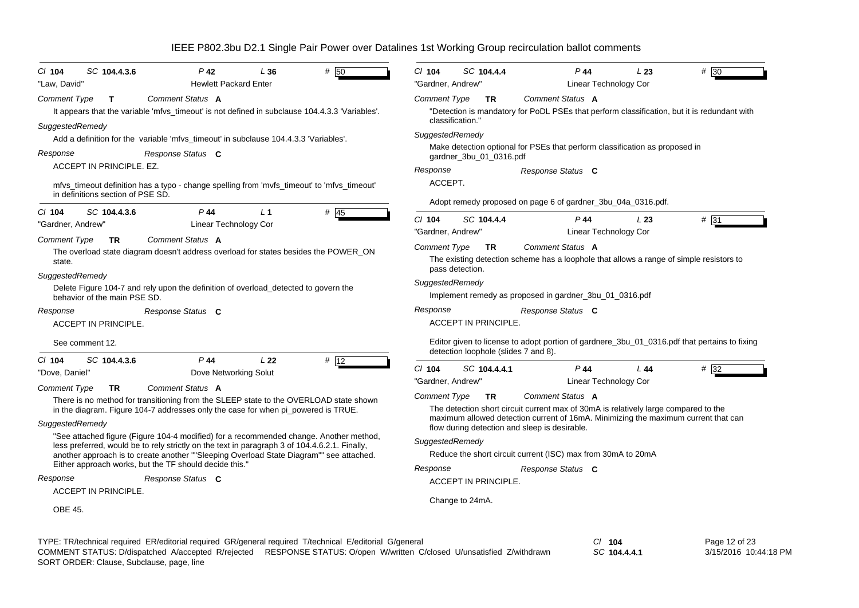| $Cl$ 104<br>SC 104.4.3.6<br>$P$ 42<br># 50<br>L36                                                                                                                                       | $Cl$ 104<br>SC 104.4.4<br>$P$ 44<br>L23<br># 30                                                                                                                        |
|-----------------------------------------------------------------------------------------------------------------------------------------------------------------------------------------|------------------------------------------------------------------------------------------------------------------------------------------------------------------------|
| "Law, David"<br><b>Hewlett Packard Enter</b>                                                                                                                                            | "Gardner, Andrew"<br>Linear Technology Cor                                                                                                                             |
| Comment Status A<br><b>Comment Type</b><br>$\mathbf{T}$<br>It appears that the variable 'mfvs_timeout' is not defined in subclause 104.4.3.3 'Variables'.                               | <b>Comment Type</b><br>Comment Status A<br><b>TR</b><br>"Detection is mandatory for PoDL PSEs that perform classification, but it is redundant with<br>classification. |
| SuggestedRemedy<br>Add a definition for the variable 'mfvs_timeout' in subclause 104.4.3.3 'Variables'.                                                                                 | SuggestedRemedy                                                                                                                                                        |
| Response<br>Response Status C                                                                                                                                                           | Make detection optional for PSEs that perform classification as proposed in                                                                                            |
| ACCEPT IN PRINCIPLE. EZ.                                                                                                                                                                | gardner_3bu_01_0316.pdf<br>Response<br>Response Status C                                                                                                               |
| mfvs_timeout definition has a typo - change spelling from 'mvfs_timeout' to 'mfvs_timeout'<br>in definitions section of PSE SD.                                                         | ACCEPT.                                                                                                                                                                |
| $P$ 44<br>L <sub>1</sub>                                                                                                                                                                | Adopt remedy proposed on page 6 of gardner_3bu_04a_0316.pdf.                                                                                                           |
| SC 104.4.3.6<br>$#$ 45<br>$Cl$ 104<br>"Gardner, Andrew"<br>Linear Technology Cor                                                                                                        | $Cl$ 104<br>SC 104.4.4<br>$P$ 44<br># 31<br>L23                                                                                                                        |
| Comment Status A<br><b>Comment Type</b><br><b>TR</b>                                                                                                                                    | "Gardner, Andrew"<br>Linear Technology Cor                                                                                                                             |
| The overload state diagram doesn't address overload for states besides the POWER_ON<br>state.                                                                                           | Comment Status A<br>Comment Type<br><b>TR</b><br>The existing detection scheme has a loophole that allows a range of simple resistors to<br>pass detection.            |
| SuggestedRemedy                                                                                                                                                                         |                                                                                                                                                                        |
| Delete Figure 104-7 and rely upon the definition of overload_detected to govern the<br>behavior of the main PSE SD.                                                                     | SuggestedRemedy<br>Implement remedy as proposed in gardner_3bu_01_0316.pdf                                                                                             |
| Response<br>Response Status C                                                                                                                                                           | Response<br>Response Status C                                                                                                                                          |
| <b>ACCEPT IN PRINCIPLE.</b>                                                                                                                                                             | <b>ACCEPT IN PRINCIPLE.</b>                                                                                                                                            |
| See comment 12.                                                                                                                                                                         | Editor given to license to adopt portion of gardnere_3bu_01_0316.pdf that pertains to fixing<br>detection loophole (slides 7 and 8).                                   |
| $P$ 44<br>SC 104.4.3.6<br>L22<br># 12<br>$CI$ 104                                                                                                                                       | $Cl$ 104<br>SC 104.4.4.1<br>$P$ 44<br>#32<br>L 44                                                                                                                      |
| Dove Networking Solut<br>"Dove, Daniel'                                                                                                                                                 | "Gardner, Andrew"<br>Linear Technology Cor                                                                                                                             |
| Comment Status A<br><b>Comment Type</b><br><b>TR</b>                                                                                                                                    | Comment Status A<br>Comment Type<br><b>TR</b>                                                                                                                          |
| There is no method for transitioning from the SLEEP state to the OVERLOAD state shown<br>in the diagram. Figure 104-7 addresses only the case for when pi_powered is TRUE.              | The detection short circuit current max of 30mA is relatively large compared to the                                                                                    |
| SuggestedRemedy                                                                                                                                                                         | maximum allowed detection current of 16mA. Minimizing the maximum current that can<br>flow during detection and sleep is desirable.                                    |
| "See attached figure (Figure 104-4 modified) for a recommended change. Another method,<br>less preferred, would be to rely strictly on the text in paragraph 3 of 104.4.6.2.1. Finally, | SuggestedRemedy                                                                                                                                                        |
| another approach is to create another ""Sleeping Overload State Diagram"" see attached.                                                                                                 | Reduce the short circuit current (ISC) max from 30mA to 20mA                                                                                                           |
| Either approach works, but the TF should decide this.'                                                                                                                                  | Response<br>Response Status C                                                                                                                                          |
| Response Status C<br>Response                                                                                                                                                           | <b>ACCEPT IN PRINCIPLE.</b>                                                                                                                                            |
| <b>ACCEPT IN PRINCIPLE.</b>                                                                                                                                                             | Change to 24mA.                                                                                                                                                        |
| OBE 45.                                                                                                                                                                                 |                                                                                                                                                                        |
|                                                                                                                                                                                         |                                                                                                                                                                        |

TYPE: TR/technical required ER/editorial required GR/general required T/technical E/editorial G/general *Cl* **104** SORT ORDER: Clause, Subclause, page, line COMMENT STATUS: D/dispatched A/accepted R/rejected RESPONSE STATUS: O/open W/written C/closed U/unsatisfied Z/withdrawn

*SC* **104.4.4.1**

Page 12 of 23 3/15/2016 10:44:18 PM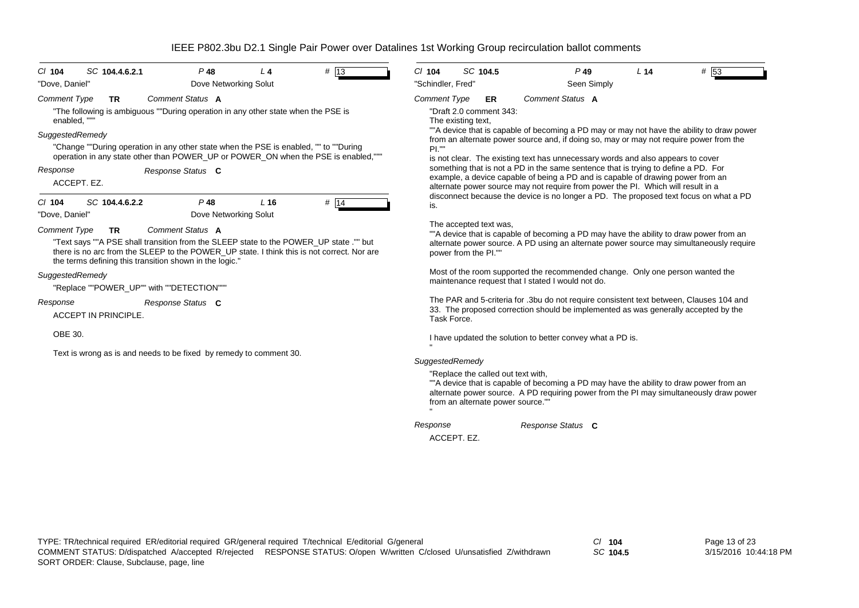| C/ 104<br>SC 104.4.6.2.1                                                                                                                                                                                                                                                            | $P$ 48                          | L <sub>4</sub> | $#$  13 | $CI$ 104            | SC 104.5                                                                | $P$ 49                                                                                                                                                                                                                                                                                                                                                       | L <sub>14</sub> | # 53 |
|-------------------------------------------------------------------------------------------------------------------------------------------------------------------------------------------------------------------------------------------------------------------------------------|---------------------------------|----------------|---------|---------------------|-------------------------------------------------------------------------|--------------------------------------------------------------------------------------------------------------------------------------------------------------------------------------------------------------------------------------------------------------------------------------------------------------------------------------------------------------|-----------------|------|
| "Dove, Daniel"                                                                                                                                                                                                                                                                      | Dove Networking Solut           |                |         | "Schindler, Fred"   |                                                                         | Seen Simply                                                                                                                                                                                                                                                                                                                                                  |                 |      |
| <b>Comment Type</b><br><b>TR</b><br>"The following is ambiguous ""During operation in any other state when the PSE is<br>enabled, ""                                                                                                                                                | <b>Comment Status A</b>         |                |         | <b>Comment Type</b> | ER<br>"Draft 2.0 comment 343:<br>The existing text,                     | Comment Status A                                                                                                                                                                                                                                                                                                                                             |                 |      |
| SuggestedRemedy<br>"Change ""During operation in any other state when the PSE is enabled, "" to ""During<br>operation in any state other than POWER_UP or POWER_ON when the PSE is enabled,"""<br>Response                                                                          | Response Status C               |                |         | PL'''               |                                                                         | ""A device that is capable of becoming a PD may or may not have the ability to draw power<br>from an alternate power source and, if doing so, may or may not require power from the<br>is not clear. The existing text has unnecessary words and also appears to cover<br>something that is not a PD in the same sentence that is trying to define a PD. For |                 |      |
| ACCEPT. EZ.                                                                                                                                                                                                                                                                         |                                 |                |         |                     |                                                                         | example, a device capable of being a PD and is capable of drawing power from an<br>alternate power source may not require from power the PI. Which will result in a                                                                                                                                                                                          |                 |      |
| SC 104.4.6.2.2<br>$CI$ 104<br>"Dove, Daniel"                                                                                                                                                                                                                                        | $P$ 48<br>Dove Networking Solut | $L$ 16         | # 14    | is.                 |                                                                         | disconnect because the device is no longer a PD. The proposed text focus on what a PD                                                                                                                                                                                                                                                                        |                 |      |
| <b>Comment Type</b><br><b>TR</b><br>"Text says ""A PSE shall transition from the SLEEP state to the POWER_UP state ."" but<br>there is no arc from the SLEEP to the POWER UP state. I think this is not correct. Nor are<br>the terms defining this transition shown in the logic." | Comment Status A                |                |         |                     | The accepted text was,<br>power from the PI.""                          | ""A device that is capable of becoming a PD may have the ability to draw power from an<br>alternate power source. A PD using an alternate power source may simultaneously require                                                                                                                                                                            |                 |      |
| SuggestedRemedy<br>"Replace ""POWER UP"" with ""DETECTION"""                                                                                                                                                                                                                        |                                 |                |         |                     |                                                                         | Most of the room supported the recommended change. Only one person wanted the<br>maintenance request that I stated I would not do.                                                                                                                                                                                                                           |                 |      |
| Response<br><b>ACCEPT IN PRINCIPLE.</b>                                                                                                                                                                                                                                             | Response Status C               |                |         | Task Force.         |                                                                         | The PAR and 5-criteria for .3bu do not require consistent text between, Clauses 104 and<br>33. The proposed correction should be implemented as was generally accepted by the                                                                                                                                                                                |                 |      |
| OBE 30.                                                                                                                                                                                                                                                                             |                                 |                |         |                     |                                                                         | I have updated the solution to better convey what a PD is.                                                                                                                                                                                                                                                                                                   |                 |      |
| Text is wrong as is and needs to be fixed by remedy to comment 30.                                                                                                                                                                                                                  |                                 |                |         | SuggestedRemedy     |                                                                         |                                                                                                                                                                                                                                                                                                                                                              |                 |      |
|                                                                                                                                                                                                                                                                                     |                                 |                |         |                     | "Replace the called out text with,<br>from an alternate power source."" | ""A device that is capable of becoming a PD may have the ability to draw power from an<br>alternate power source. A PD requiring power from the PI may simultaneously draw power                                                                                                                                                                             |                 |      |
|                                                                                                                                                                                                                                                                                     |                                 |                |         | Response            |                                                                         | Response Status C                                                                                                                                                                                                                                                                                                                                            |                 |      |
|                                                                                                                                                                                                                                                                                     |                                 |                |         | ACCEPT. EZ.         |                                                                         |                                                                                                                                                                                                                                                                                                                                                              |                 |      |

*SC* **104.5**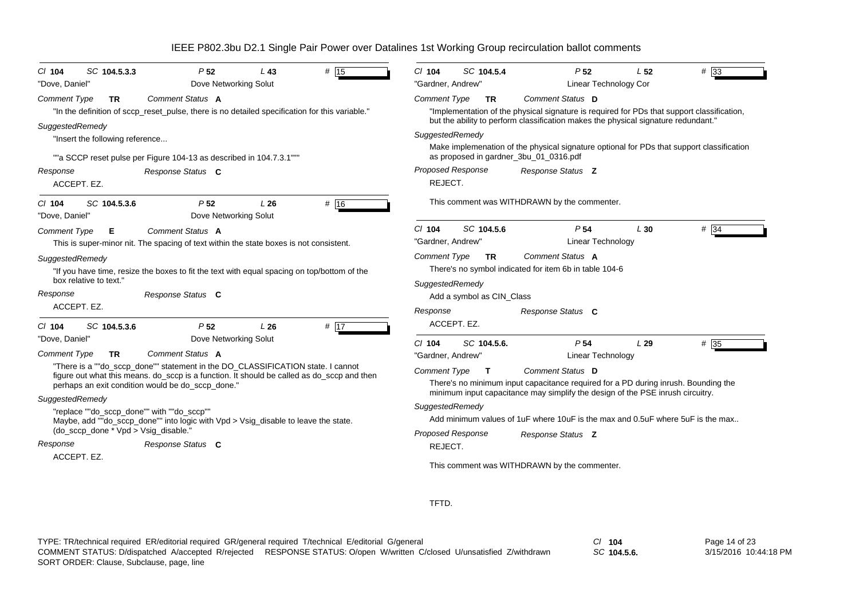| # 15<br>SC 104.5.3.3<br>P <sub>52</sub><br>$L$ 43<br>$CI$ 104<br>Dove Networking Solut<br>"Dove, Daniel"                                        | $# \overline{33}$<br>$Cl$ 104<br>SC 104.5.4<br>P <sub>52</sub><br>L 52<br>"Gardner, Andrew"<br>Linear Technology Cor                |
|-------------------------------------------------------------------------------------------------------------------------------------------------|-------------------------------------------------------------------------------------------------------------------------------------|
| Comment Status A<br><b>Comment Type</b><br><b>TR</b>                                                                                            | Comment Type<br>Comment Status D<br><b>TR</b>                                                                                       |
| "In the definition of sccp_reset_pulse, there is no detailed specification for this variable."                                                  | "Implementation of the physical signature is required for PDs that support classification,                                          |
| SuggestedRemedy                                                                                                                                 | but the ability to perform classification makes the physical signature redundant."                                                  |
| "Insert the following reference                                                                                                                 | SuggestedRemedy                                                                                                                     |
| ""a SCCP reset pulse per Figure 104-13 as described in 104.7.3.1""                                                                              | Make implemenation of the physical signature optional for PDs that support classification<br>as proposed in gardner_3bu_01_0316.pdf |
| Response<br>Response Status C                                                                                                                   | Proposed Response<br>Response Status Z                                                                                              |
| ACCEPT. EZ.                                                                                                                                     | REJECT.                                                                                                                             |
| P <sub>52</sub><br># 16<br>SC 104.5.3.6<br>L26<br>$CI$ 104<br>Dove Networking Solut<br>"Dove, Daniel"                                           | This comment was WITHDRAWN by the commenter.                                                                                        |
| Comment Status A<br><b>Comment Type</b><br>Е                                                                                                    | SC 104.5.6<br>P <sub>54</sub><br>L30<br># 34<br>$CI$ 104                                                                            |
| This is super-minor nit. The spacing of text within the state boxes is not consistent.                                                          | "Gardner, Andrew"<br><b>Linear Technology</b>                                                                                       |
| SuggestedRemedy                                                                                                                                 | <b>Comment Type</b><br>Comment Status A<br>TR.                                                                                      |
| "If you have time, resize the boxes to fit the text with equal spacing on top/bottom of the                                                     | There's no symbol indicated for item 6b in table 104-6                                                                              |
| box relative to text."                                                                                                                          | SuggestedRemedy                                                                                                                     |
| Response Status C<br>Response                                                                                                                   | Add a symbol as CIN Class                                                                                                           |
| ACCEPT. EZ.                                                                                                                                     | Response<br>Response Status C                                                                                                       |
| P <sub>52</sub><br>$#$ 17<br>SC 104.5.3.6<br>L26<br>$CI$ 104                                                                                    | ACCEPT. EZ.                                                                                                                         |
| Dove Networking Solut<br>"Dove, Daniel"                                                                                                         | P <sub>54</sub><br>$# \overline{35}$<br>$Cl$ 104<br>SC 104.5.6.<br>L29                                                              |
| Comment Status A<br><b>Comment Type</b><br>TR.                                                                                                  | "Gardner, Andrew"<br>Linear Technology                                                                                              |
| "There is a ""do_sccp_done"" statement in the DO_CLASSIFICATION state. I cannot                                                                 | <b>Comment Type</b><br>Comment Status D<br>$\mathbf{T}$                                                                             |
| figure out what this means. do_sccp is a function. It should be called as do_sccp and then<br>perhaps an exit condition would be do_sccp_done." | There's no minimum input capacitance required for a PD during inrush. Bounding the                                                  |
| SuggestedRemedy                                                                                                                                 | minimum input capacitance may simplify the design of the PSE inrush circuitry.                                                      |
| "replace ""do_sccp_done"" with ""do_sccp""                                                                                                      | SuggestedRemedy                                                                                                                     |
| Maybe, add ""do_sccp_done"" into logic with Vpd > Vsig_disable to leave the state.                                                              | Add minimum values of 1uF where 10uF is the max and 0.5uF where 5uF is the max                                                      |
| (do_sccp_done * Vpd > Vsig_disable."                                                                                                            | <b>Proposed Response</b><br>Response Status Z                                                                                       |
| Response<br>Response Status C                                                                                                                   | REJECT.                                                                                                                             |
| ACCEPT. EZ.                                                                                                                                     | This comment was WITHDRAWN by the commenter.                                                                                        |

TFTD.

TYPE: TR/technical required ER/editorial required GR/general required T/technical E/editorial G/general *Cl* **104** SORT ORDER: Clause, Subclause, page, line COMMENT STATUS: D/dispatched A/accepted R/rejected RESPONSE STATUS: O/open W/written C/closed U/unsatisfied Z/withdrawn

*SC* **104.5.6.**

Page 14 of 23 3/15/2016 10:44:18 PM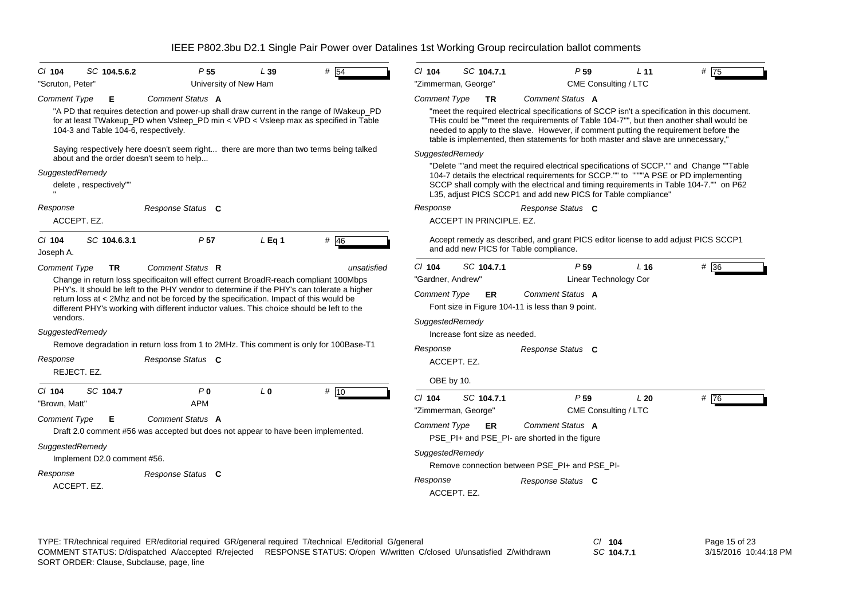| $CI$ 104<br>"Scruton, Peter"                                                    | SC 104.5.6.2                                                | P <sub>55</sub><br>University of New Ham                                                                                                                                                                                                                                                                                                                                                                                                                                                                     | L39            | # $\overline{54}$ | $Cl$ 104                                                                                          | SC 104.7.1<br>"Zimmerman, George"                                | P <sub>59</sub><br>CME Consulting / LTC                                                                                                                                                                                                                                                                                                                                                                                                                                             | L <sub>11</sub> | # 75 |
|---------------------------------------------------------------------------------|-------------------------------------------------------------|--------------------------------------------------------------------------------------------------------------------------------------------------------------------------------------------------------------------------------------------------------------------------------------------------------------------------------------------------------------------------------------------------------------------------------------------------------------------------------------------------------------|----------------|-------------------|---------------------------------------------------------------------------------------------------|------------------------------------------------------------------|-------------------------------------------------------------------------------------------------------------------------------------------------------------------------------------------------------------------------------------------------------------------------------------------------------------------------------------------------------------------------------------------------------------------------------------------------------------------------------------|-----------------|------|
| <b>Comment Type</b>                                                             | Е<br>104-3 and Table 104-6, respectively.                   | Comment Status A<br>"A PD that requires detection and power-up shall draw current in the range of IWakeup_PD<br>for at least TWakeup_PD when Vsleep_PD min < VPD < Vsleep max as specified in Table<br>Saying respectively here doesn't seem right there are more than two terms being talked<br>about and the order doesn't seem to help                                                                                                                                                                    |                |                   | <b>Comment Type</b><br>SuggestedRemedy                                                            | <b>TR</b>                                                        | Comment Status A<br>"meet the required electrical specifications of SCCP isn't a specification in this document.<br>THis could be ""meet the requirements of Table 104-7"", but then another shall would be<br>needed to apply to the slave. However, if comment putting the requirement before the<br>table is implemented, then statements for both master and slave are unnecessary,"<br>"Delete ""and meet the required electrical specifications of SCCP."" and Change ""Table |                 |      |
| SuggestedRemedy                                                                 | delete, respectively""                                      |                                                                                                                                                                                                                                                                                                                                                                                                                                                                                                              |                |                   |                                                                                                   |                                                                  | 104-7 details the electrical requirements for SCCP."" to """"A PSE or PD implementing<br>SCCP shall comply with the electrical and timing requirements in Table 104-7."" on P62<br>L35, adjust PICS SCCP1 and add new PICS for Table compliance"                                                                                                                                                                                                                                    |                 |      |
| Response                                                                        | ACCEPT. EZ.                                                 | Response Status C                                                                                                                                                                                                                                                                                                                                                                                                                                                                                            |                |                   | Response                                                                                          | ACCEPT IN PRINCIPLE, EZ.                                         | Response Status C                                                                                                                                                                                                                                                                                                                                                                                                                                                                   |                 |      |
| $CI$ 104<br>Joseph A.                                                           | SC 104.6.3.1                                                | P <sub>57</sub>                                                                                                                                                                                                                                                                                                                                                                                                                                                                                              | $L$ Eq 1       | $#$ 46            |                                                                                                   |                                                                  | Accept remedy as described, and grant PICS editor license to add adjust PICS SCCP1<br>and add new PICS for Table compliance.                                                                                                                                                                                                                                                                                                                                                        |                 |      |
| <b>Comment Type</b><br>vendors.<br>SuggestedRemedy<br>Response                  | <b>TR</b><br>REJECT. EZ.                                    | Comment Status R<br>Change in return loss specificaiton will effect current BroadR-reach compliant 100Mbps<br>PHY's. It should be left to the PHY vendor to determine if the PHY's can tolerate a higher<br>return loss at < 2Mhz and not be forced by the specification. Impact of this would be<br>different PHY's working with different inductor values. This choice should be left to the<br>Remove degradation in return loss from 1 to 2MHz. This comment is only for 100Base-T1<br>Response Status C |                | unsatisfied       | $Cl$ 104<br>"Gardner, Andrew"<br><b>Comment Type</b><br>SuggestedRemedy<br>Response<br>OBE by 10. | SC 104.7.1<br>ER<br>Increase font size as needed.<br>ACCEPT. EZ. | P <sub>59</sub><br><b>Linear Technology Cor</b><br>Comment Status A<br>Font size in Figure 104-11 is less than 9 point.<br>Response Status C                                                                                                                                                                                                                                                                                                                                        | L <sub>16</sub> | # 36 |
| $Cl$ 104<br>"Brown, Matt"<br><b>Comment Type</b><br>SuggestedRemedy<br>Response | SC 104.7<br>Е<br>Implement D2.0 comment #56.<br>ACCEPT. EZ. | P <sub>0</sub><br><b>APM</b><br>Comment Status A<br>Draft 2.0 comment #56 was accepted but does not appear to have been implemented.<br>Response Status C                                                                                                                                                                                                                                                                                                                                                    | L <sub>0</sub> | # 10              | $Cl$ 104<br><b>Comment Type</b><br>SuggestedRemedy<br>Response                                    | SC 104.7.1<br>"Zimmerman, George"<br>ER.<br>ACCEPT. EZ.          | P <sub>59</sub><br>CME Consulting / LTC<br>Comment Status A<br>PSE_PI+ and PSE_PI- are shorted in the figure<br>Remove connection between PSE PI+ and PSE PI-<br>Response Status C                                                                                                                                                                                                                                                                                                  | L20             | #76  |

TYPE: TR/technical required ER/editorial required GR/general required T/technical E/editorial G/general *Cl* **104** SORT ORDER: Clause, Subclause, page, line COMMENT STATUS: D/dispatched A/accepted R/rejected RESPONSE STATUS: O/open W/written C/closed U/unsatisfied Z/withdrawn

*SC* **104.7.1**

Page 15 of 23 3/15/2016 10:44:18 PM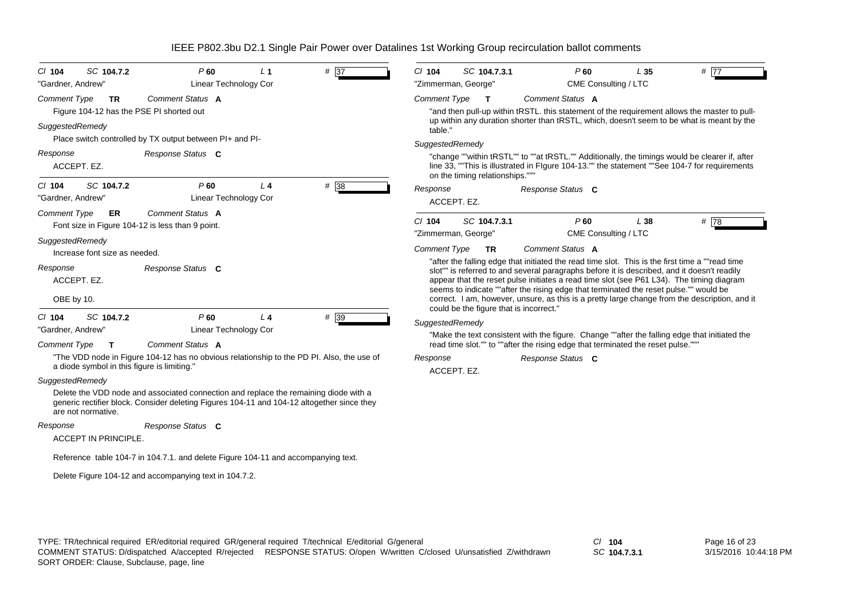| SC 104.7.2<br>$CI$ 104<br>"Gardner, Andrew"                                                     | P60<br>Linear Technology Cor                                                                                                                                                       | L <sub>1</sub> | $# \overline{37}$ | SC 104.7.3.1<br>$CI$ 104<br>"Zimmerman, George"   |                                                                                                                                                                                                                                                                                                                                                                                      | P <sub>60</sub><br>CME Consulting / LTC | L35  | # 77                                                                                                                                                                                            |
|-------------------------------------------------------------------------------------------------|------------------------------------------------------------------------------------------------------------------------------------------------------------------------------------|----------------|-------------------|---------------------------------------------------|--------------------------------------------------------------------------------------------------------------------------------------------------------------------------------------------------------------------------------------------------------------------------------------------------------------------------------------------------------------------------------------|-----------------------------------------|------|-------------------------------------------------------------------------------------------------------------------------------------------------------------------------------------------------|
| <b>Comment Type</b><br><b>TR</b><br>Figure 104-12 has the PSE PI shorted out<br>SuggestedRemedy | Comment Status A                                                                                                                                                                   |                |                   | <b>Comment Type</b><br>$\mathbf{T}$<br>table."    | Comment Status A                                                                                                                                                                                                                                                                                                                                                                     |                                         |      | "and then pull-up within tRSTL. this statement of the requirement allows the master to pull-<br>up within any duration shorter than tRSTL, which, doesn't seem to be what is meant by the       |
| Response<br>ACCEPT. EZ.                                                                         | Place switch controlled by TX output between PI+ and PI-<br>Response Status C                                                                                                      |                |                   | SuggestedRemedy<br>on the timing relationships."" |                                                                                                                                                                                                                                                                                                                                                                                      |                                         |      | "change ""within tRSTL"" to ""at tRSTL."" Additionally, the timings would be clearer if, after<br>line 33, ""This is illustrated in Flgure 104-13."" the statement ""See 104-7 for requirements |
| SC 104.7.2<br>$Cl$ 104<br>"Gardner, Andrew"                                                     | P60<br>Linear Technology Cor                                                                                                                                                       | $L_4$          | # 38              | Response<br>ACCEPT. EZ.                           | Response Status C                                                                                                                                                                                                                                                                                                                                                                    |                                         |      |                                                                                                                                                                                                 |
| <b>Comment Type</b><br>ER<br>SuggestedRemedy                                                    | Comment Status A<br>Font size in Figure 104-12 is less than 9 point.                                                                                                               |                |                   | SC 104.7.3.1<br>$Cl$ 104<br>"Zimmerman, George"   |                                                                                                                                                                                                                                                                                                                                                                                      | $P$ 60<br>CME Consulting / LTC          | L 38 | #78                                                                                                                                                                                             |
| Increase font size as needed.                                                                   |                                                                                                                                                                                    |                |                   | <b>Comment Type</b><br><b>TR</b>                  | Comment Status A                                                                                                                                                                                                                                                                                                                                                                     |                                         |      |                                                                                                                                                                                                 |
| Response<br>ACCEPT. EZ.<br>OBE by 10.                                                           | Response Status C                                                                                                                                                                  |                |                   | could be the figure that is incorrect."           | "after the falling edge that initiated the read time slot. This is the first time a ""read time"<br>slot"" is referred to and several paragraphs before it is described, and it doesn't readily<br>appear that the reset pulse initiates a read time slot (see P61 L34). The timing diagram<br>seems to indicate ""after the rising edge that terminated the reset pulse."" would be |                                         |      | correct. I am, however, unsure, as this is a pretty large change from the description, and it                                                                                                   |
| SC 104.7.2<br>$Cl$ 104                                                                          | P60                                                                                                                                                                                | L <sub>4</sub> | # 39              | SuggestedRemedy                                   |                                                                                                                                                                                                                                                                                                                                                                                      |                                         |      |                                                                                                                                                                                                 |
| "Gardner, Andrew"<br><b>Comment Type</b><br>Т                                                   | Linear Technology Cor<br>Comment Status A                                                                                                                                          |                |                   |                                                   | read time slot."" to ""after the rising edge that terminated the reset pulse."""                                                                                                                                                                                                                                                                                                     |                                         |      | "Make the text consistent with the figure. Change ""after the falling edge that initiated the                                                                                                   |
| a diode symbol in this figure is limiting."                                                     | "The VDD node in Figure 104-12 has no obvious relationship to the PD PI. Also, the use of                                                                                          |                |                   | Response<br>ACCEPT. EZ.                           | Response Status C                                                                                                                                                                                                                                                                                                                                                                    |                                         |      |                                                                                                                                                                                                 |
| SuggestedRemedy<br>are not normative.                                                           | Delete the VDD node and associated connection and replace the remaining diode with a<br>generic rectifier block. Consider deleting Figures 104-11 and 104-12 altogether since they |                |                   |                                                   |                                                                                                                                                                                                                                                                                                                                                                                      |                                         |      |                                                                                                                                                                                                 |
| Response                                                                                        | Response Status C                                                                                                                                                                  |                |                   |                                                   |                                                                                                                                                                                                                                                                                                                                                                                      |                                         |      |                                                                                                                                                                                                 |
| <b>ACCEPT IN PRINCIPLE.</b>                                                                     |                                                                                                                                                                                    |                |                   |                                                   |                                                                                                                                                                                                                                                                                                                                                                                      |                                         |      |                                                                                                                                                                                                 |
|                                                                                                 | Reference table 104-7 in 104.7.1. and delete Figure 104-11 and accompanying text.                                                                                                  |                |                   |                                                   |                                                                                                                                                                                                                                                                                                                                                                                      |                                         |      |                                                                                                                                                                                                 |
|                                                                                                 | Delete Figure 104-12 and accompanying text in 104.7.2.                                                                                                                             |                |                   |                                                   |                                                                                                                                                                                                                                                                                                                                                                                      |                                         |      |                                                                                                                                                                                                 |
|                                                                                                 |                                                                                                                                                                                    |                |                   |                                                   |                                                                                                                                                                                                                                                                                                                                                                                      |                                         |      |                                                                                                                                                                                                 |

*SC* **104.7.3.1**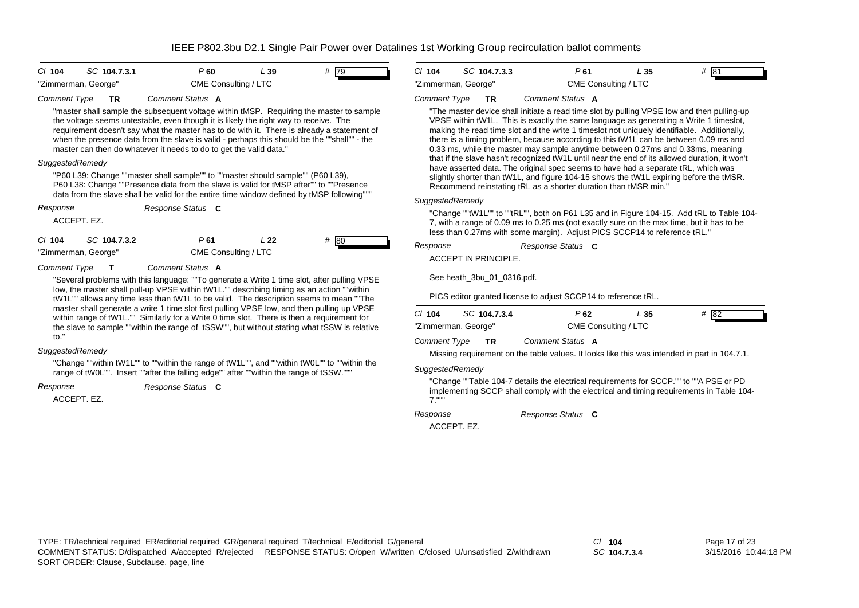| $Cl$ 104            | SC 104.7.3.1 | P 60                 | L 39 | # 79 |
|---------------------|--------------|----------------------|------|------|
| "Zimmerman, George" |              | CME Consulting / LTC |      |      |



"master shall sample the subsequent voltage within tMSP. Requiring the master to sample the voltage seems untestable, even though it is likely the right way to receive. The requirement doesn't say what the master has to do with it. There is already a statement of when the presence data from the slave is valid - perhaps this should be the ""shall"" - the master can then do whatever it needs to do to get the valid data."

#### *SuggestedRemedy*

"P60 L39: Change ""master shall sample"" to ""master should sample"" (P60 L39), P60 L38: Change ""Presence data from the slave is valid for tMSP after"" to ""Presence data from the slave shall be valid for the entire time window defined by tMSP following"""

*Response Status* **C** *Response*

#### ACCEPT. EZ.

*Cl* **104**

*SC* **104.7.3.2** *P* 61 *L* 22 "Zimmerman, George" CME Consulting / LTC

 $# 80$ 

*Comment Type* **T** *Comment Status* **A**

"Several problems with this language: ""To generate a Write 1 time slot, after pulling VPSE low, the master shall pull-up VPSE within tW1L."" describing timing as an action ""within tW1L"" allows any time less than tW1L to be valid. The description seems to mean ""The master shall generate a write 1 time slot first pulling VPSE low, and then pulling up VPSE within range of tW1L."" Similarly for a Write 0 time slot. There is then a requirement for the slave to sample ""within the range of tSSW"", but without stating what tSSW is relative to."

### *SuggestedRemedy*

"Change ""within tW1L"" to ""within the range of tW1L"", and ""within tW0L"" to ""within the range of tW0L"". Insert ""after the falling edge"" after ""within the range of tSSW."""

*Response*

ACCEPT. EZ.*Response Status* **C**

*Cl* **104** *SC* **104.7.3.3** *P* **61** *L* **35** *#* 81"Zimmerman, George" CME Consulting / LTC

#### *Comment Type* **TR** *Comment Status* **A**

"The master device shall initiate a read time slot by pulling VPSE low and then pulling-up VPSE within tW1L. This is exactly the same language as generating a Write 1 timeslot, making the read time slot and the write 1 timeslot not uniquely identifiable. Additionally, there is a timing problem, because according to this tW1L can be between 0.09 ms and 0.33 ms, while the master may sample anytime between 0.27ms and 0.33ms, meaning that if the slave hasn't recognized tW1L until near the end of its allowed duration, it won't have asserted data. The original spec seems to have had a separate tRL, which was slightly shorter than tW1L, and figure 104-15 shows the tW1L expiring before the tMSR. Recommend reinstating tRL as a shorter duration than tMSR min."

### *SuggestedRemedy*

"Change ""tW1L"" to ""tRL"", both on P61 L35 and in Figure 104-15. Add tRL to Table 104- 7, with a range of 0.09 ms to 0.25 ms (not exactly sure on the max time, but it has to be less than 0.27ms with some margin). Adjust PICS SCCP14 to reference tRL."

*Response Status* **C** *Response*

ACCEPT IN PRINCIPLE.

See heath\_3bu\_01\_0316.pdf.

PICS editor granted license to adjust SCCP14 to reference tRL.

| $Cl$ 104            | SC 104.7.3.4 | P 62                 | L 35 | # 182 |  |
|---------------------|--------------|----------------------|------|-------|--|
| "Zimmerman, George" |              | CME Consulting / LTC |      |       |  |

*Comment Type* **TR** *Comment Status* **A**

Missing requirement on the table values. It looks like this was intended in part in 104.7.1.

### *SuggestedRemedy*

"Change ""Table 104-7 details the electrical requirements for SCCP."" to ""A PSE or PD implementing SCCP shall comply with the electrical and timing requirements in Table 104- 7."""

*Response Status* **C**

### *Response*

ACCEPT. EZ.

*SC* **104.7.3.4**

Page 17 of 23 3/15/2016 10:44:18 PM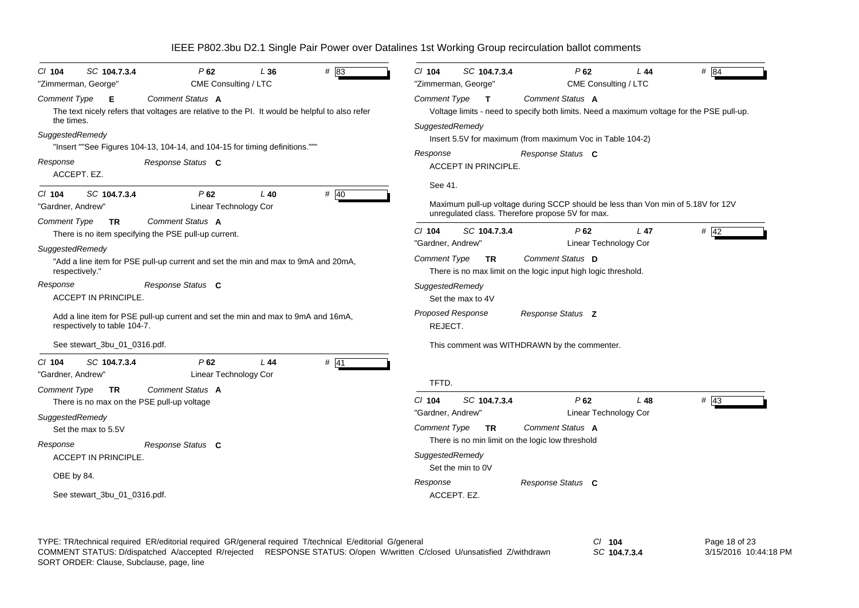|                                                                                                                                   |                                 |        | IEEE P802.3bu D2.1 Single Pair Power over Datalines 1st Working Group recirculation ballot comments |                                 |                                     |                                                                                                                                      |                                          |                   |
|-----------------------------------------------------------------------------------------------------------------------------------|---------------------------------|--------|-----------------------------------------------------------------------------------------------------|---------------------------------|-------------------------------------|--------------------------------------------------------------------------------------------------------------------------------------|------------------------------------------|-------------------|
| SC 104.7.3.4<br>$Cl$ 104<br>"Zimmerman, George"                                                                                   | P62<br>CME Consulting / LTC     | L36    | # 83                                                                                                | $Cl$ 104                        | SC 104.7.3.4<br>"Zimmerman, George" | P62                                                                                                                                  | L44<br>CME Consulting / LTC              | # 184             |
| Comment Type<br>Е<br>The text nicely refers that voltages are relative to the PI. It would be helpful to also refer<br>the times. | Comment Status A                |        |                                                                                                     | Comment Type<br>SuggestedRemedy | $\mathbf{T}$                        | Comment Status A<br>Voltage limits - need to specify both limits. Need a maximum voltage for the PSE pull-up.                        |                                          |                   |
| SuggestedRemedy<br>"Insert ""See Figures 104-13, 104-14, and 104-15 for timing definitions."""                                    |                                 |        |                                                                                                     | Response                        |                                     | Insert 5.5V for maximum (from maximum Voc in Table 104-2)<br>Response Status C                                                       |                                          |                   |
| Response<br>ACCEPT. EZ.                                                                                                           | Response Status C               |        |                                                                                                     |                                 | ACCEPT IN PRINCIPLE.                |                                                                                                                                      |                                          |                   |
| SC 104.7.3.4<br>$CI$ 104<br>"Gardner, Andrew"                                                                                     | P62<br>Linear Technology Cor    | $L$ 40 | # 40                                                                                                | See 41.                         |                                     | Maximum pull-up voltage during SCCP should be less than Von min of 5.18V for 12V<br>unregulated class. Therefore propose 5V for max. |                                          |                   |
| <b>Comment Type</b><br><b>TR</b><br>There is no item specifying the PSE pull-up current.                                          | Comment Status A                |        |                                                                                                     | $CI$ 104<br>"Gardner, Andrew"   | SC 104.7.3.4                        | P62                                                                                                                                  | L <sub>47</sub><br>Linear Technology Cor | # $42$            |
| SuggestedRemedy<br>"Add a line item for PSE pull-up current and set the min and max to 9mA and 20mA,<br>respectively."            |                                 |        |                                                                                                     | <b>Comment Type</b>             | TR.                                 | Comment Status D<br>There is no max limit on the logic input high logic threshold.                                                   |                                          |                   |
| Response<br><b>ACCEPT IN PRINCIPLE.</b>                                                                                           | Response Status C               |        |                                                                                                     | SuggestedRemedy                 | Set the max to 4V                   |                                                                                                                                      |                                          |                   |
| Add a line item for PSE pull-up current and set the min and max to 9mA and 16mA,<br>respectively to table 104-7.                  |                                 |        |                                                                                                     | Proposed Response<br>REJECT.    |                                     | Response Status Z                                                                                                                    |                                          |                   |
| See stewart 3bu 01 0316.pdf.                                                                                                      |                                 |        |                                                                                                     |                                 |                                     | This comment was WITHDRAWN by the commenter.                                                                                         |                                          |                   |
| SC 104.7.3.4<br>$CI$ 104<br>"Gardner, Andrew"                                                                                     | $P$ 62<br>Linear Technology Cor | L44    | $#$ 41                                                                                              | TFTD.                           |                                     |                                                                                                                                      |                                          |                   |
| <b>Comment Type</b><br><b>TR</b><br>There is no max on the PSE pull-up voltage                                                    | Comment Status A                |        |                                                                                                     | $Cl$ 104<br>"Gardner, Andrew"   | SC 104.7.3.4                        | $P$ 62                                                                                                                               | L48<br>Linear Technology Cor             | $# \overline{4}3$ |
| SuggestedRemedy<br>Set the max to 5.5V                                                                                            |                                 |        |                                                                                                     | <b>Comment Type</b>             | <b>TR</b>                           | Comment Status A<br>There is no min limit on the logic low threshold                                                                 |                                          |                   |
| Response<br><b>ACCEPT IN PRINCIPLE.</b>                                                                                           | Response Status C               |        |                                                                                                     | SuggestedRemedy                 | Set the min to 0V                   |                                                                                                                                      |                                          |                   |
| OBE by 84.<br>See stewart_3bu_01_0316.pdf.                                                                                        |                                 |        |                                                                                                     | Response<br>ACCEPT. EZ.         |                                     | Response Status C                                                                                                                    |                                          |                   |

TYPE: TR/technical required ER/editorial required GR/general required T/technical E/editorial G/general *Cl* **104** SORT ORDER: Clause, Subclause, page, line COMMENT STATUS: D/dispatched A/accepted R/rejected RESPONSE STATUS: O/open W/written C/closed U/unsatisfied Z/withdrawn

*SC* **104.7.3.4**

Page 18 of 23 3/15/2016 10:44:18 PM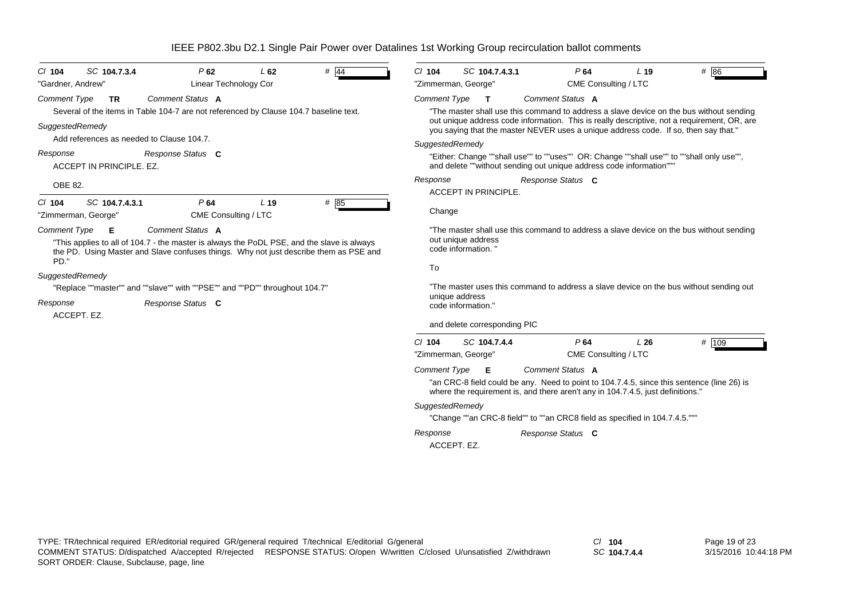| SC 104.7.3.4<br>$CI$ 104                                                                                                                                                                                                | P62                         | L62             | $\#$ 44 | $CI$ 104            | SC 104.7.4.3.1                            |                   | P64                         | L <sub>19</sub>                                                                | # 86                                                                                                                                                                                                                                                                          |
|-------------------------------------------------------------------------------------------------------------------------------------------------------------------------------------------------------------------------|-----------------------------|-----------------|---------|---------------------|-------------------------------------------|-------------------|-----------------------------|--------------------------------------------------------------------------------|-------------------------------------------------------------------------------------------------------------------------------------------------------------------------------------------------------------------------------------------------------------------------------|
| "Gardner, Andrew"                                                                                                                                                                                                       | Linear Technology Cor       |                 |         |                     | "Zimmerman, George"                       |                   | CME Consulting / LTC        |                                                                                |                                                                                                                                                                                                                                                                               |
| Comment Type<br><b>TR</b><br>Several of the items in Table 104-7 are not referenced by Clause 104.7 baseline text.<br>SuggestedRemedy<br>Add references as needed to Clause 104.7.                                      | Comment Status A            |                 |         | <b>Comment Type</b> | $\mathbf T$                               |                   | Comment Status A            |                                                                                | "The master shall use this command to address a slave device on the bus without sending<br>out unique address code information. This is really descriptive, not a requirement, OR, are<br>you saying that the master NEVER uses a unique address code. If so, then say that." |
|                                                                                                                                                                                                                         |                             |                 |         | SuggestedRemedy     |                                           |                   |                             |                                                                                |                                                                                                                                                                                                                                                                               |
| Response<br>ACCEPT IN PRINCIPLE, EZ.                                                                                                                                                                                    | Response Status C           |                 |         |                     |                                           |                   |                             | and delete ""without sending out unique address code information""             | "Either: Change ""shall use"" to ""uses"" OR: Change ""shall use"" to ""shall only use"",                                                                                                                                                                                     |
| OBE 82.                                                                                                                                                                                                                 |                             |                 |         | Response            |                                           | Response Status C |                             |                                                                                |                                                                                                                                                                                                                                                                               |
|                                                                                                                                                                                                                         |                             |                 |         |                     | <b>ACCEPT IN PRINCIPLE.</b>               |                   |                             |                                                                                |                                                                                                                                                                                                                                                                               |
| SC 104.7.4.3.1<br>$CI$ 104<br>"Zimmerman, George"                                                                                                                                                                       | P64<br>CME Consulting / LTC | L <sub>19</sub> | # 85    | Change              |                                           |                   |                             |                                                                                |                                                                                                                                                                                                                                                                               |
| <b>Comment Type</b><br>Е<br>"This applies to all of 104.7 - the master is always the PoDL PSE, and the slave is always<br>the PD. Using Master and Slave confuses things. Why not just describe them as PSE and<br>PD." | Comment Status A            |                 |         |                     | out unique address<br>code information. " |                   |                             |                                                                                | "The master shall use this command to address a slave device on the bus without sending                                                                                                                                                                                       |
| SuggestedRemedy                                                                                                                                                                                                         |                             |                 |         | To                  |                                           |                   |                             |                                                                                |                                                                                                                                                                                                                                                                               |
| "Replace ""master"" and ""slave"" with ""PSE"" and ""PD"" throughout 104.7"                                                                                                                                             |                             |                 |         |                     |                                           |                   |                             |                                                                                | "The master uses this command to address a slave device on the bus without sending out                                                                                                                                                                                        |
| Response<br>ACCEPT. EZ.                                                                                                                                                                                                 | Response Status C           |                 |         |                     | unique address<br>code information."      |                   |                             |                                                                                |                                                                                                                                                                                                                                                                               |
|                                                                                                                                                                                                                         |                             |                 |         |                     | and delete corresponding PIC              |                   |                             |                                                                                |                                                                                                                                                                                                                                                                               |
|                                                                                                                                                                                                                         |                             |                 |         | $CI$ 104            | SC 104.7.4.4<br>"Zimmerman, George"       |                   | P64<br>CME Consulting / LTC | L26                                                                            | # 109                                                                                                                                                                                                                                                                         |
|                                                                                                                                                                                                                         |                             |                 |         | <b>Comment Type</b> | E                                         |                   | Comment Status A            | where the requirement is, and there aren't any in 104.7.4.5, just definitions. | "an CRC-8 field could be any. Need to point to 104.7.4.5, since this sentence (line 26) is                                                                                                                                                                                    |
|                                                                                                                                                                                                                         |                             |                 |         | SuggestedRemedy     |                                           |                   |                             |                                                                                |                                                                                                                                                                                                                                                                               |
|                                                                                                                                                                                                                         |                             |                 |         |                     |                                           |                   |                             | "Change ""an CRC-8 field"" to ""an CRC8 field as specified in 104.7.4.5."""    |                                                                                                                                                                                                                                                                               |
|                                                                                                                                                                                                                         |                             |                 |         | Response            |                                           | Response Status C |                             |                                                                                |                                                                                                                                                                                                                                                                               |
|                                                                                                                                                                                                                         |                             |                 |         |                     | ACCEPT. EZ.                               |                   |                             |                                                                                |                                                                                                                                                                                                                                                                               |

*SC* **104.7.4.4**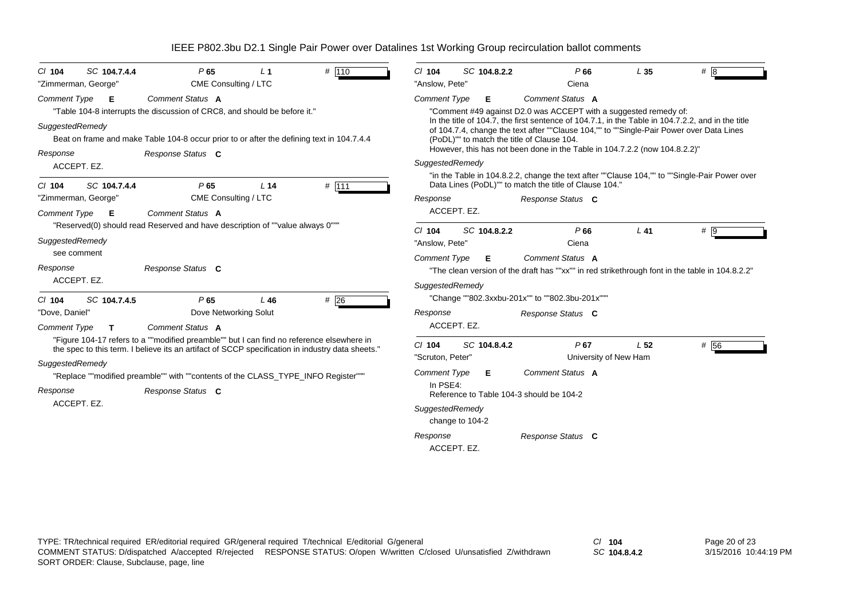| SC 104.7.4.4<br>$Cl$ 104     | P65                                                                                                                                                                                           | L <sub>1</sub>  | # 110 | $Cl$ 104            |                 | SC 104.8.2.2 | P66                                                                                                                                                                                                                                         | L35                   | #8   |
|------------------------------|-----------------------------------------------------------------------------------------------------------------------------------------------------------------------------------------------|-----------------|-------|---------------------|-----------------|--------------|---------------------------------------------------------------------------------------------------------------------------------------------------------------------------------------------------------------------------------------------|-----------------------|------|
| "Zimmerman, George"          | CME Consulting / LTC                                                                                                                                                                          |                 |       | "Anslow, Pete"      |                 |              | Ciena                                                                                                                                                                                                                                       |                       |      |
| <b>Comment Type</b><br>E     | Comment Status A                                                                                                                                                                              |                 |       | <b>Comment Type</b> |                 | Е.           | Comment Status A                                                                                                                                                                                                                            |                       |      |
|                              | "Table 104-8 interrupts the discussion of CRC8, and should be before it."                                                                                                                     |                 |       |                     |                 |              | "Comment #49 against D2.0 was ACCEPT with a suggested remedy of:                                                                                                                                                                            |                       |      |
| SuggestedRemedy              | Beat on frame and make Table 104-8 occur prior to or after the defining text in 104.7.4.4                                                                                                     |                 |       |                     |                 |              | In the title of 104.7, the first sentence of 104.7.1, in the Table in 104.7.2.2, and in the title<br>of 104.7.4, change the text after ""Clause 104,"" to ""Single-Pair Power over Data Lines<br>(PoDL)"" to match the title of Clause 104. |                       |      |
| Response                     | Response Status C                                                                                                                                                                             |                 |       |                     |                 |              | However, this has not been done in the Table in 104.7.2.2 (now 104.8.2.2)"                                                                                                                                                                  |                       |      |
| ACCEPT. EZ.                  |                                                                                                                                                                                               |                 |       | SuggestedRemedy     |                 |              |                                                                                                                                                                                                                                             |                       |      |
| SC 104.7.4.4<br>$CI$ 104     | P65                                                                                                                                                                                           | L <sub>14</sub> | # 111 |                     |                 |              | "in the Table in 104.8.2.2, change the text after ""Clause 104,"" to ""Single-Pair Power over<br>Data Lines (PoDL)"" to match the title of Clause 104."                                                                                     |                       |      |
| "Zimmerman, George"          | CME Consulting / LTC                                                                                                                                                                          |                 |       | Response            |                 |              | Response Status C                                                                                                                                                                                                                           |                       |      |
| <b>Comment Type</b><br>Е     | Comment Status A                                                                                                                                                                              |                 |       |                     | ACCEPT. EZ.     |              |                                                                                                                                                                                                                                             |                       |      |
|                              | "Reserved(0) should read Reserved and have description of ""value always 0"""                                                                                                                 |                 |       | $Cl$ 104            |                 | SC 104.8.2.2 | P66                                                                                                                                                                                                                                         | $L$ 41                | # 9  |
| SuggestedRemedy              |                                                                                                                                                                                               |                 |       | "Anslow, Pete"      |                 |              | Ciena                                                                                                                                                                                                                                       |                       |      |
| see comment                  |                                                                                                                                                                                               |                 |       | <b>Comment Type</b> |                 | Е.           | Comment Status A                                                                                                                                                                                                                            |                       |      |
| Response                     | Response Status C                                                                                                                                                                             |                 |       |                     |                 |              | "The clean version of the draft has ""xx"" in red strikethrough font in the table in 104.8.2.2"                                                                                                                                             |                       |      |
| ACCEPT. EZ.                  |                                                                                                                                                                                               |                 |       | SuggestedRemedy     |                 |              |                                                                                                                                                                                                                                             |                       |      |
| SC 104.7.4.5<br>$Cl$ 104     | P65                                                                                                                                                                                           | L46             | #26   |                     |                 |              | "Change ""802.3xxbu-201x"" to ""802.3bu-201x"""                                                                                                                                                                                             |                       |      |
| "Dove, Daniel"               | Dove Networking Solut                                                                                                                                                                         |                 |       | Response            |                 |              | Response Status C                                                                                                                                                                                                                           |                       |      |
| Comment Type<br>$\mathbf{T}$ | Comment Status A                                                                                                                                                                              |                 |       |                     | ACCEPT. EZ.     |              |                                                                                                                                                                                                                                             |                       |      |
|                              | "Figure 104-17 refers to a ""modified preamble"" but I can find no reference elsewhere in<br>the spec to this term. I believe its an artifact of SCCP specification in industry data sheets." |                 |       | $Cl$ 104            |                 | SC 104.8.4.2 | $P$ 67                                                                                                                                                                                                                                      | L <sub>52</sub>       | # 56 |
|                              |                                                                                                                                                                                               |                 |       | "Scruton, Peter"    |                 |              |                                                                                                                                                                                                                                             | University of New Ham |      |
|                              |                                                                                                                                                                                               |                 |       | <b>Comment Type</b> |                 | Е.           | Comment Status A                                                                                                                                                                                                                            |                       |      |
|                              | "Replace ""modified preamble"" with ""contents of the CLASS_TYPE_INFO Register"""                                                                                                             |                 |       |                     |                 |              |                                                                                                                                                                                                                                             |                       |      |
|                              | Response Status C                                                                                                                                                                             |                 |       | In PSE4:            |                 |              | Reference to Table 104-3 should be 104-2                                                                                                                                                                                                    |                       |      |
| ACCEPT. EZ.                  |                                                                                                                                                                                               |                 |       | SuggestedRemedy     |                 |              |                                                                                                                                                                                                                                             |                       |      |
| SuggestedRemedy<br>Response  |                                                                                                                                                                                               |                 |       |                     | change to 104-2 |              |                                                                                                                                                                                                                                             |                       |      |

TYPE: TR/technical required ER/editorial required GR/general required T/technical E/editorial G/general *Cl* **104** SORT ORDER: Clause, Subclause, page, line COMMENT STATUS: D/dispatched A/accepted R/rejected RESPONSE STATUS: O/open W/written C/closed U/unsatisfied Z/withdrawn

*SC* **104.8.4.2**

Page 20 of 23 3/15/2016 10:44:19 PM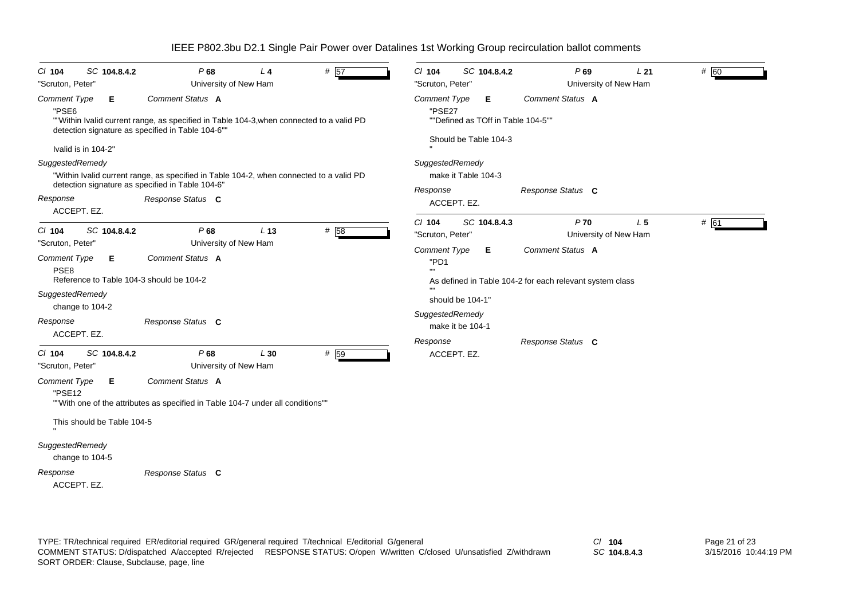| SC 104.8.4.2<br>$Cl$ 104<br>"Scruton, Peter"                                                                                                           |                                                   | P68<br>University of New Ham                                                                                                               | L <sub>4</sub>  | # 57 | $Cl$ 104<br>"Scruton, Peter"                                                               | SC 104.8.4.2                                                     | P69<br>University of New Ham                                                                                                                | L21            | # 60 |
|--------------------------------------------------------------------------------------------------------------------------------------------------------|---------------------------------------------------|--------------------------------------------------------------------------------------------------------------------------------------------|-----------------|------|--------------------------------------------------------------------------------------------|------------------------------------------------------------------|---------------------------------------------------------------------------------------------------------------------------------------------|----------------|------|
| Comment Type<br>Е<br>"PSE6<br>Ivalid is in 104-2"                                                                                                      | detection signature as specified in Table 104-6"" | Comment Status A<br>""Within Ivalid current range, as specified in Table 104-3, when connected to a valid PD                               |                 |      | <b>Comment Type</b><br>"PSE27                                                              | Е<br>""Defined as TOff in Table 104-5""<br>Should be Table 104-3 | <b>Comment Status A</b>                                                                                                                     |                |      |
| SuggestedRemedy<br>Response<br>ACCEPT. EZ.                                                                                                             | detection signature as specified in Table 104-6'  | "Within Ivalid current range, as specified in Table 104-2, when connected to a valid PD<br>Response Status C                               |                 |      | SuggestedRemedy<br>Response                                                                | make it Table 104-3<br>ACCEPT. EZ.                               | Response Status C                                                                                                                           |                |      |
| $Cl$ 104<br>SC 104.8.4.2<br>"Scruton, Peter"<br>Comment Type<br>Е<br>PSE <sub>8</sub><br>SuggestedRemedy<br>change to 104-2<br>Response<br>ACCEPT. EZ. | Reference to Table 104-3 should be 104-2          | P68<br>University of New Ham<br>Comment Status A<br>Response Status C                                                                      | L <sub>13</sub> | # 58 | $CI$ 104<br>"Scruton, Peter"<br><b>Comment Type</b><br>"PD1<br>SuggestedRemedy<br>Response | SC 104.8.4.3<br>Е.<br>should be 104-1'<br>make it be 104-1       | $P$ 70<br>University of New Ham<br><b>Comment Status A</b><br>As defined in Table 104-2 for each relevant system class<br>Response Status C | L <sub>5</sub> | # 61 |
| SC 104.8.4.2<br>$CI$ 104<br>"Scruton, Peter"<br>Comment Type<br>Е<br>"PSE12<br>This should be Table 104-5<br>SuggestedRemedy<br>change to 104-5        |                                                   | P68<br>University of New Ham<br><b>Comment Status A</b><br>""With one of the attributes as specified in Table 104-7 under all conditions"" | L30             | # 59 |                                                                                            | ACCEPT. EZ.                                                      |                                                                                                                                             |                |      |
| Response                                                                                                                                               |                                                   | Response Status C                                                                                                                          |                 |      |                                                                                            |                                                                  |                                                                                                                                             |                |      |

ACCEPT. EZ.

TYPE: TR/technical required ER/editorial required GR/general required T/technical E/editorial G/general *Cl* **104** SORT ORDER: Clause, Subclause, page, line COMMENT STATUS: D/dispatched A/accepted R/rejected RESPONSE STATUS: O/open W/written C/closed U/unsatisfied Z/withdrawn

*SC* **104.8.4.3**

Page 21 of 23 3/15/2016 10:44:19 PM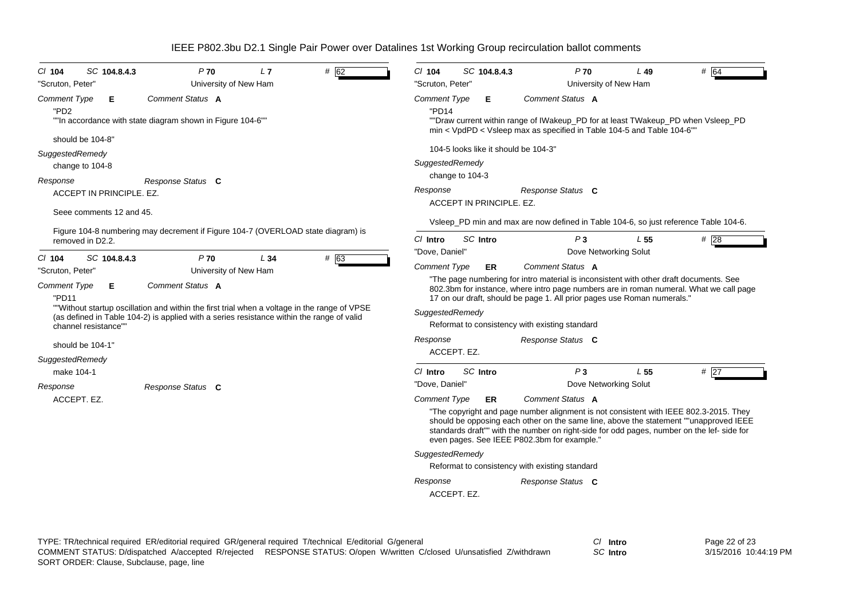| SC 104.8.4.3<br>$CI$ 104<br>"Scruton, Peter"                                                                                                                                                                                                                                                                                                | P70<br>University of New Ham                                                                        | L7  | # 62 | $Cl$ 104<br>"Scruton, Peter"                                                                                                                                                                                                                                                                                                                                                                                                      | SC 104.8.4.3                                            | $P$ 70<br>University of New Ham                                                                                                                                                                                                                                                                                                                                                                                                                                   | L49             | # 64 |  |
|---------------------------------------------------------------------------------------------------------------------------------------------------------------------------------------------------------------------------------------------------------------------------------------------------------------------------------------------|-----------------------------------------------------------------------------------------------------|-----|------|-----------------------------------------------------------------------------------------------------------------------------------------------------------------------------------------------------------------------------------------------------------------------------------------------------------------------------------------------------------------------------------------------------------------------------------|---------------------------------------------------------|-------------------------------------------------------------------------------------------------------------------------------------------------------------------------------------------------------------------------------------------------------------------------------------------------------------------------------------------------------------------------------------------------------------------------------------------------------------------|-----------------|------|--|
| <b>Comment Type</b><br>Е<br>"PD <sub>2</sub>                                                                                                                                                                                                                                                                                                | Comment Status A<br>""In accordance with state diagram shown in Figure 104-6""                      |     |      | <b>Comment Type</b><br>"PD14                                                                                                                                                                                                                                                                                                                                                                                                      | E.                                                      | Comment Status A<br>""Draw current within range of IWakeup_PD for at least TWakeup_PD when Vsleep_PD<br>min < VpdPD < Vsleep max as specified in Table 104-5 and Table 104-6"                                                                                                                                                                                                                                                                                     |                 |      |  |
| should be 104-8"<br>SuggestedRemedy<br>change to 104-8                                                                                                                                                                                                                                                                                      |                                                                                                     |     |      | SuggestedRemedy                                                                                                                                                                                                                                                                                                                                                                                                                   | 104-5 looks like it should be 104-3"<br>change to 104-3 |                                                                                                                                                                                                                                                                                                                                                                                                                                                                   |                 |      |  |
| Response<br>ACCEPT IN PRINCIPLE, EZ.<br>Seee comments 12 and 45.                                                                                                                                                                                                                                                                            | Response Status C                                                                                   |     |      | Response                                                                                                                                                                                                                                                                                                                                                                                                                          | ACCEPT IN PRINCIPLE, EZ.                                | Response Status C<br>Vsleep_PD min and max are now defined in Table 104-6, so just reference Table 104-6.                                                                                                                                                                                                                                                                                                                                                         |                 |      |  |
| removed in D2.2.<br>SC 104.8.4.3<br>$CI$ 104                                                                                                                                                                                                                                                                                                | Figure 104-8 numbering may decrement if Figure 104-7 (OVERLOAD state diagram) is<br>P <sub>70</sub> | L34 | # 63 | $Cl$ Intro<br>"Dove, Daniel"                                                                                                                                                                                                                                                                                                                                                                                                      | SC Intro                                                | P <sub>3</sub><br>Dove Networking Solut                                                                                                                                                                                                                                                                                                                                                                                                                           | L <sub>55</sub> | #28  |  |
| University of New Ham<br>"Scruton, Peter"<br>Comment Status A<br><b>Comment Type</b><br>Е<br>"PD11<br>""Without startup oscillation and within the first trial when a voltage in the range of VPSE<br>(as defined in Table 104-2) is applied with a series resistance within the range of valid<br>channel resistance""<br>should be 104-1' |                                                                                                     |     |      | Comment Type<br>Comment Status A<br><b>ER</b><br>"The page numbering for intro material is inconsistent with other draft documents. See<br>802.3bm for instance, where intro page numbers are in roman numeral. What we call page<br>17 on our draft, should be page 1. All prior pages use Roman numerals."<br>SuggestedRemedy<br>Reformat to consistency with existing standard<br>Response<br>Response Status C<br>ACCEPT. EZ. |                                                         |                                                                                                                                                                                                                                                                                                                                                                                                                                                                   |                 |      |  |
| SuggestedRemedy<br>make 104-1<br>Response<br>ACCEPT. EZ.                                                                                                                                                                                                                                                                                    | Response Status C                                                                                   |     |      | $Cl$ Intro<br>"Dove, Daniel"<br><b>Comment Type</b><br>SuggestedRemedy<br>Response<br>ACCEPT. EZ.                                                                                                                                                                                                                                                                                                                                 | SC Intro<br>ER.                                         | P <sub>3</sub><br>Dove Networking Solut<br>Comment Status A<br>"The copyright and page number alignment is not consistent with IEEE 802.3-2015. They<br>should be opposing each other on the same line, above the statement ""unapproved IEEE<br>standards draft"" with the number on right-side for odd pages, number on the lef- side for<br>even pages. See IEEE P802.3bm for example."<br>Reformat to consistency with existing standard<br>Response Status C | L <sub>55</sub> | # 27 |  |

*SC* **Intro**

Page 22 of 23 3/15/2016 10:44:19 PM